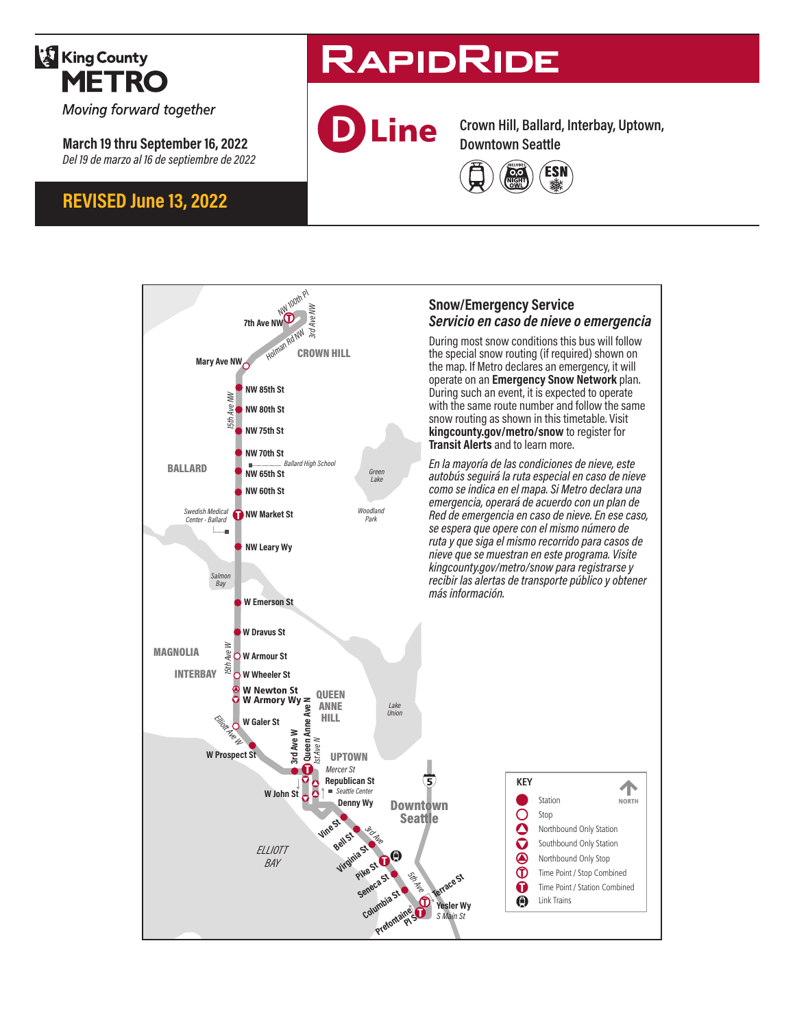

Moving forward together

**March 19 thru September 16, 2022** *Del 19 de marzo al 16 de septiembre de 2022*

# **REVISED June 13, 2022**

# **RAPIDRIDE**



**NW 100th Pl** 

**7th Ave NW**

*3rd Ave NW*

**Crown Hill, Ballard, Interbay, Uptown, Downtown Seattle**



### **Snow/Emergency Service**  *Servicio en caso de nieve o emergencia*

During most snow conditions this bus will follow

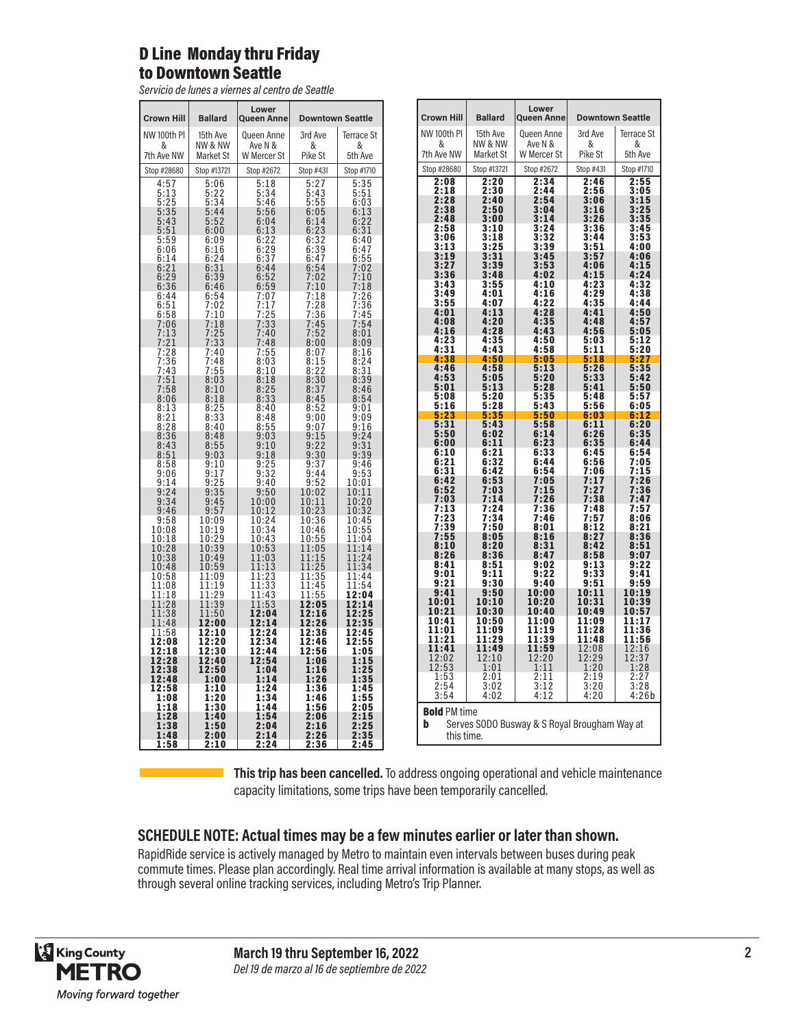# D Line Monday thru Friday to Downtown Seattle

*Servicio de lunes a viernes al centro de Seattle*

| Lower<br>Lower<br><b>Ballard</b><br><b>Downtown Seattle</b><br><b>Crown Hill</b><br><b>Queen Anne</b><br><b>Ballard</b><br><b>Queen Anne</b><br><b>Downtown Seattle</b><br>NW 100th PI<br>3rd Ave<br>3rd Ave<br>15th Ave<br>Queen Anne<br>15th Ave<br>Queen Anne<br><b>Terrace St</b><br>NW & NW<br>Ave N &<br>&<br>&<br>NW & NW<br>&<br>Ave N &<br>&<br>&<br>&<br>7th Ave NW<br>Pike St<br>Market St<br>W Mercer St<br>Pike St<br>5th Ave<br>7th Ave NW<br>Market St<br>W Mercer St<br>Stop #28680<br>Stop #13721<br>Stop #2672<br>Stop #431<br>Stop #1710<br>Stop #28680<br>Stop #13721<br>Stop #2672<br>Stop #431<br>Stop #1710<br>2:34<br>2:55<br>$2:20$<br>$2:30$<br>2:46<br>$2:08$<br>$2:18$<br>$\frac{5:27}{5:43}$<br>$\frac{5:35}{5:51}$<br>$4:57$<br>$5:13$<br>5:06<br>$5:18$<br>$5:34$<br>2:44<br>2:56<br>3:05<br>5:22<br>2:40<br>2:50<br>3:00<br>2:28<br>2:38<br>2:48<br>3:06<br>2:54<br>3:04<br>3:14<br>3:15<br>$5:25$<br>$5:35$<br>$5:43$<br>$5:51$<br>$5:59$<br>5:34<br>5:46<br>$\frac{5:55}{6:05}$<br>$6:03$<br>$6:13$<br>3:16<br>3:25<br>5:44<br>5:56<br>3:26<br>5:52<br>6:04<br>6:22<br>6:14<br>3:10<br>3:24<br>3:36<br>2:58<br>6:00<br>6:13<br>6:23<br>6:31<br>3:18<br>3:06<br>3:32<br>3:44<br>6:32<br>6:09<br>6:22<br>6:40<br>3:25<br>3:13<br>3:39<br>$6:39$<br>$6:47$<br>3:51<br>$6:29$<br>$6:37$<br>6:06<br>$6:16$<br>$6:24$<br>$6:31$<br>6:47<br>3:45<br>3:19<br>3:31<br>3:57<br>4:06<br>$6:14$<br>$6:21$<br>$6:29$<br>$6:36$<br>6:55<br>3:39<br>$3:53$<br>$4:02$<br>4:06<br>4:15<br>3:27<br>6:44<br>$6:54$<br>7:02<br>7:10<br>7:02<br>4:24<br>3:36<br>3:48<br>4:15<br>6:52<br>7:10<br>6:39<br>3:55<br>4:23<br>3:43<br>4:10<br>6:59<br>7:18<br>6:46<br>4:29<br>4:01<br>3:49<br>4:16<br>4:22<br>6:44<br>7:07<br>$7:18$<br>$7:28$<br>$7:36$<br>$7:26$<br>$7:36$<br>6:54<br>4:35<br>4:07<br>3:55<br>6:51<br>7:02<br>7:17<br>$4:13$<br>$4:20$<br>$4:28$<br>4:28<br>4:41<br>4:01<br>$6:58$<br>$7:06$<br>$7:13$<br>$\frac{7:25}{7:33}$<br>7:45<br>7:10<br>4:35<br>$4:48$<br>$4:56$<br>4:57<br>4:08<br>7:18<br>$7:45$<br>$7:52$<br>7:54<br>4:43<br>4:16<br>5:05<br>7:25<br>7:40<br>8:01<br>4:23<br>4:35<br>5:03<br>4:50<br>5:12<br>7:21<br>8:00<br>7:33<br>7:48<br>8:09<br>4:43<br>5:11<br>5:20<br>4:31<br>4:58<br>$7:28$<br>$7:36$<br>$7:43$<br>$8:07$<br>$8:15$<br>$8:22$<br>7:40<br>$\frac{8:16}{8:24}$<br>7:55<br>4:50<br>5:18<br>4:38<br>$\frac{5:05}{5:13}$<br>5:27<br>7:48<br>8:03<br>5:26<br>4:58<br>4:46<br>8:31<br>7:55<br>8:10<br>4:53<br>5:05<br>5:20<br>5:33<br>8:30<br>7:51<br>8:03<br>8:39<br>8:18<br>5:28<br>5:13<br>5:41<br>5:01<br>7:58<br>8:06<br>8:13<br>8:13<br>8:28<br>8:28<br>8:36<br>8:43<br>$8:25$<br>$8:33$<br>$8:37$<br>$8:45$<br>$8:52$<br>8:10<br>8:46<br>5:20<br>5:35<br>8:18<br>5:08<br>5:48<br>8:54<br>5:16<br>5:28<br>5:43<br>5:56<br>6:05<br>8:25<br>8:40<br>9:01<br>5:23<br>5:35<br>5:50<br>5:58<br>6:03<br>6:12<br>8:33<br>8:48<br>$\frac{9:00}{9:07}$<br>9:09<br>5:43<br>6:11<br>6:20<br>5:31<br>9:16<br>8:40<br>8:55<br>6:02<br>$6:14$<br>$6:23$<br>$6:33$<br>6:26<br>5:50<br>9:15<br>8:48<br>9:03<br>9:24<br>$6:11$<br>$6:21$<br>$6:32$<br>$6:42$<br>6:35<br>6:00<br>8:55<br>9:10<br>9:22<br>9:31<br>6:10<br>6:45<br>8:51<br>9:03<br>9:30<br>9:39<br>9:18<br>$6:21$<br>$6:31$<br>$\frac{6:56}{7:06}$<br>$6:44$<br>$6:54$<br>9:37<br>8:58<br>9:10<br>9:25<br>9:46<br>7:15<br>9:32<br>9:06<br>9:44<br>9:17<br>9:53<br>6:42<br>6:53<br>7:17<br>7:05<br>7:26<br>9:52<br>9:14<br>9:25<br>9:40<br>10:01<br>7:03<br>7:27<br>7:15<br>7:36<br>6:52<br>9:24<br>10:02<br>9:35<br>9:50<br>10:11<br>$7:26$<br>$7:36$<br>$7:14$<br>$7:24$<br>$7:34$<br>7:38<br>7:47<br>7:03<br>$9:34$<br>$9:46$<br>$9:58$<br>$\frac{10:11}{10:23}$<br>$\frac{10:36}{10:36}$<br>9:45<br>10:20<br>$10:00$<br>$10:12$<br>7:13<br>7:48<br>10:32<br>9:57<br>7:23<br>7:46<br>7:57<br>10:24<br>10:09<br>10:45<br>7:39<br>7:50<br>8:12<br>8:01<br>10:08<br>$10.24$<br>$10.34$<br>$10.43$<br>$10.53$<br>$11.03$<br>$11.13$<br>$11.23$<br>$\frac{10:46}{10:55}$<br>10:19<br>10:19<br>10:29<br>10:39<br>10:49<br>10:59<br>11:29<br>11:29<br>11:29<br>$\frac{10:55}{11:04}$<br>$8:05$<br>$8:20$<br>7:55<br>8:16<br>8:27<br>8:36<br>10:18<br>8:31<br>8:10<br>8:42<br>8:51<br>$\frac{10:28}{10:38}$<br>11:05<br>11:14<br>8:36<br>8:47<br>8:58<br>8:26<br>9:07<br>11:15<br>11:24<br>8:51<br>9:13<br>8:41<br>9:02<br>10:48<br>11:34<br>11:25<br>$\begin{array}{r} 0.31 \\ 9.11 \\ 9.30 \\ 9.50 \\ 10.10 \\ 10.30 \\ 10.50 \\ 1.00 \end{array}$<br>9:22<br>9:40<br>9:33<br>9:01<br>11:35<br>11:44<br>10:58<br>$9:21$<br>$9:41$<br>9:51<br>$\frac{11:33}{11:43}$<br>11:45<br>11:54<br>11:08<br>$10:00$<br>$10:20$<br>10:11<br>12:04<br>11:18<br>$\overline{11:55}$<br>12:05<br>10:31<br>10:01<br>10:39<br>11:39<br>12:14<br>11:28<br>11:53<br>10:21<br>10:40<br>10:49<br>10:57<br>11:50<br>12:04<br>12:16<br>11:38<br>12:25<br>10:41<br>11:00<br>11:09<br>11:17<br>11:48<br>12:00<br>12:14<br>12:26<br>12:35<br>11:01<br>11:09<br>11:19<br>11:28<br>11:36<br>12:10<br>12:24<br>12:36<br>11:58<br>12:45<br>11:29<br>11:39<br>11:48<br>11:21<br>12:46<br>12:56<br>12:08<br>12:20<br>12:34<br>12:55<br>11:49<br>11:41<br>11:59<br>12:08<br>12:30<br>12:18<br>12:44<br>1:05<br>12:02<br>12:10<br>12:20<br>$12:29$<br>$1:20$<br>12:28<br>12:40<br>12:54<br>1:06<br>1:15<br>12:53<br>1:01<br>1:11<br>12:50<br>12:38<br>1:16<br>1:04<br>1:25<br>2:27<br>$2:01$<br>$3:02$<br>2:11<br>2:19<br>1:53<br>1:26<br>12:48<br>12:58<br>1:00<br>1:35<br>1:14<br>2:54<br>$\overline{3:28}$<br>$\frac{3:20}{4:20}$<br>3:12<br>1:36<br>1:10<br>1:24<br>1:45<br>3:54<br>4:02<br>4:12<br>$\frac{1:20}{1:30}$<br>$1:46$<br>$1:56$<br>1:08<br>1:34<br>1:55<br>1:18<br>1:44<br>2:05<br><b>Bold PM time</b><br>1:28<br>$2:06$<br>$2:16$<br>$2:26$<br>1:40<br>1:54<br>2:15<br>Serves SODO Busway & S Royal Brougham Way at<br>b<br>1:38<br>2:25<br>1:50<br>2:04<br>1:48<br>2:00<br>2:14<br>2:35<br>this time.<br>1:58<br>2:24<br>2:36<br>2:10<br>2:45 |                   |  |  |  |  |                   |
|----------------------------------------------------------------------------------------------------------------------------------------------------------------------------------------------------------------------------------------------------------------------------------------------------------------------------------------------------------------------------------------------------------------------------------------------------------------------------------------------------------------------------------------------------------------------------------------------------------------------------------------------------------------------------------------------------------------------------------------------------------------------------------------------------------------------------------------------------------------------------------------------------------------------------------------------------------------------------------------------------------------------------------------------------------------------------------------------------------------------------------------------------------------------------------------------------------------------------------------------------------------------------------------------------------------------------------------------------------------------------------------------------------------------------------------------------------------------------------------------------------------------------------------------------------------------------------------------------------------------------------------------------------------------------------------------------------------------------------------------------------------------------------------------------------------------------------------------------------------------------------------------------------------------------------------------------------------------------------------------------------------------------------------------------------------------------------------------------------------------------------------------------------------------------------------------------------------------------------------------------------------------------------------------------------------------------------------------------------------------------------------------------------------------------------------------------------------------------------------------------------------------------------------------------------------------------------------------------------------------------------------------------------------------------------------------------------------------------------------------------------------------------------------------------------------------------------------------------------------------------------------------------------------------------------------------------------------------------------------------------------------------------------------------------------------------------------------------------------------------------------------------------------------------------------------------------------------------------------------------------------------------------------------------------------------------------------------------------------------------------------------------------------------------------------------------------------------------------------------------------------------------------------------------------------------------------------------------------------------------------------------------------------------------------------------------------------------------------------------------------------------------------------------------------------------------------------------------------------------------------------------------------------------------------------------------------------------------------------------------------------------------------------------------------------------------------------------------------------------------------------------------------------------------------------------------------------------------------------------------------------------------------------------------------------------------------------------------------------------------------------------------------------------------------------------------------------------------------------------------------------------------------------------------------------------------------------------------------------------------------------------------------------------------------------------------------------------------------------------------------------------------------------------------------------------------------------------------------------------------------------------------------------------------------------------------------------------------------------------------------------------------------------------------------------------------------------------------------------------------------------------------------------------------------------------------------------------------------------------------------------------------------------------------------------------------------------------------------------------------------------------------------------------------------------------------------------------------------------------------------------------------------------------------------------------------------------------------------------------------------------------------------------------------------------------------------------------------------------------------------------------------------------------------------------------------------------------------------------------------------------------------------------------------------------|-------------------|--|--|--|--|-------------------|
| NW 100th PI                                                                                                                                                                                                                                                                                                                                                                                                                                                                                                                                                                                                                                                                                                                                                                                                                                                                                                                                                                                                                                                                                                                                                                                                                                                                                                                                                                                                                                                                                                                                                                                                                                                                                                                                                                                                                                                                                                                                                                                                                                                                                                                                                                                                                                                                                                                                                                                                                                                                                                                                                                                                                                                                                                                                                                                                                                                                                                                                                                                                                                                                                                                                                                                                                                                                                                                                                                                                                                                                                                                                                                                                                                                                                                                                                                                                                                                                                                                                                                                                                                                                                                                                                                                                                                                                                                                                                                                                                                                                                                                                                                                                                                                                                                                                                                                                                                                                                                                                                                                                                                                                                                                                                                                                                                                                                                                                                                                                                                                                                                                                                                                                                                                                                                                                                                                                                                                                                                                      | <b>Crown Hill</b> |  |  |  |  |                   |
|                                                                                                                                                                                                                                                                                                                                                                                                                                                                                                                                                                                                                                                                                                                                                                                                                                                                                                                                                                                                                                                                                                                                                                                                                                                                                                                                                                                                                                                                                                                                                                                                                                                                                                                                                                                                                                                                                                                                                                                                                                                                                                                                                                                                                                                                                                                                                                                                                                                                                                                                                                                                                                                                                                                                                                                                                                                                                                                                                                                                                                                                                                                                                                                                                                                                                                                                                                                                                                                                                                                                                                                                                                                                                                                                                                                                                                                                                                                                                                                                                                                                                                                                                                                                                                                                                                                                                                                                                                                                                                                                                                                                                                                                                                                                                                                                                                                                                                                                                                                                                                                                                                                                                                                                                                                                                                                                                                                                                                                                                                                                                                                                                                                                                                                                                                                                                                                                                                                                  |                   |  |  |  |  | <b>Terrace St</b> |
|                                                                                                                                                                                                                                                                                                                                                                                                                                                                                                                                                                                                                                                                                                                                                                                                                                                                                                                                                                                                                                                                                                                                                                                                                                                                                                                                                                                                                                                                                                                                                                                                                                                                                                                                                                                                                                                                                                                                                                                                                                                                                                                                                                                                                                                                                                                                                                                                                                                                                                                                                                                                                                                                                                                                                                                                                                                                                                                                                                                                                                                                                                                                                                                                                                                                                                                                                                                                                                                                                                                                                                                                                                                                                                                                                                                                                                                                                                                                                                                                                                                                                                                                                                                                                                                                                                                                                                                                                                                                                                                                                                                                                                                                                                                                                                                                                                                                                                                                                                                                                                                                                                                                                                                                                                                                                                                                                                                                                                                                                                                                                                                                                                                                                                                                                                                                                                                                                                                                  |                   |  |  |  |  |                   |
|                                                                                                                                                                                                                                                                                                                                                                                                                                                                                                                                                                                                                                                                                                                                                                                                                                                                                                                                                                                                                                                                                                                                                                                                                                                                                                                                                                                                                                                                                                                                                                                                                                                                                                                                                                                                                                                                                                                                                                                                                                                                                                                                                                                                                                                                                                                                                                                                                                                                                                                                                                                                                                                                                                                                                                                                                                                                                                                                                                                                                                                                                                                                                                                                                                                                                                                                                                                                                                                                                                                                                                                                                                                                                                                                                                                                                                                                                                                                                                                                                                                                                                                                                                                                                                                                                                                                                                                                                                                                                                                                                                                                                                                                                                                                                                                                                                                                                                                                                                                                                                                                                                                                                                                                                                                                                                                                                                                                                                                                                                                                                                                                                                                                                                                                                                                                                                                                                                                                  |                   |  |  |  |  | 5th Ave           |
|                                                                                                                                                                                                                                                                                                                                                                                                                                                                                                                                                                                                                                                                                                                                                                                                                                                                                                                                                                                                                                                                                                                                                                                                                                                                                                                                                                                                                                                                                                                                                                                                                                                                                                                                                                                                                                                                                                                                                                                                                                                                                                                                                                                                                                                                                                                                                                                                                                                                                                                                                                                                                                                                                                                                                                                                                                                                                                                                                                                                                                                                                                                                                                                                                                                                                                                                                                                                                                                                                                                                                                                                                                                                                                                                                                                                                                                                                                                                                                                                                                                                                                                                                                                                                                                                                                                                                                                                                                                                                                                                                                                                                                                                                                                                                                                                                                                                                                                                                                                                                                                                                                                                                                                                                                                                                                                                                                                                                                                                                                                                                                                                                                                                                                                                                                                                                                                                                                                                  |                   |  |  |  |  |                   |
|                                                                                                                                                                                                                                                                                                                                                                                                                                                                                                                                                                                                                                                                                                                                                                                                                                                                                                                                                                                                                                                                                                                                                                                                                                                                                                                                                                                                                                                                                                                                                                                                                                                                                                                                                                                                                                                                                                                                                                                                                                                                                                                                                                                                                                                                                                                                                                                                                                                                                                                                                                                                                                                                                                                                                                                                                                                                                                                                                                                                                                                                                                                                                                                                                                                                                                                                                                                                                                                                                                                                                                                                                                                                                                                                                                                                                                                                                                                                                                                                                                                                                                                                                                                                                                                                                                                                                                                                                                                                                                                                                                                                                                                                                                                                                                                                                                                                                                                                                                                                                                                                                                                                                                                                                                                                                                                                                                                                                                                                                                                                                                                                                                                                                                                                                                                                                                                                                                                                  |                   |  |  |  |  |                   |
|                                                                                                                                                                                                                                                                                                                                                                                                                                                                                                                                                                                                                                                                                                                                                                                                                                                                                                                                                                                                                                                                                                                                                                                                                                                                                                                                                                                                                                                                                                                                                                                                                                                                                                                                                                                                                                                                                                                                                                                                                                                                                                                                                                                                                                                                                                                                                                                                                                                                                                                                                                                                                                                                                                                                                                                                                                                                                                                                                                                                                                                                                                                                                                                                                                                                                                                                                                                                                                                                                                                                                                                                                                                                                                                                                                                                                                                                                                                                                                                                                                                                                                                                                                                                                                                                                                                                                                                                                                                                                                                                                                                                                                                                                                                                                                                                                                                                                                                                                                                                                                                                                                                                                                                                                                                                                                                                                                                                                                                                                                                                                                                                                                                                                                                                                                                                                                                                                                                                  |                   |  |  |  |  |                   |
|                                                                                                                                                                                                                                                                                                                                                                                                                                                                                                                                                                                                                                                                                                                                                                                                                                                                                                                                                                                                                                                                                                                                                                                                                                                                                                                                                                                                                                                                                                                                                                                                                                                                                                                                                                                                                                                                                                                                                                                                                                                                                                                                                                                                                                                                                                                                                                                                                                                                                                                                                                                                                                                                                                                                                                                                                                                                                                                                                                                                                                                                                                                                                                                                                                                                                                                                                                                                                                                                                                                                                                                                                                                                                                                                                                                                                                                                                                                                                                                                                                                                                                                                                                                                                                                                                                                                                                                                                                                                                                                                                                                                                                                                                                                                                                                                                                                                                                                                                                                                                                                                                                                                                                                                                                                                                                                                                                                                                                                                                                                                                                                                                                                                                                                                                                                                                                                                                                                                  |                   |  |  |  |  |                   |
|                                                                                                                                                                                                                                                                                                                                                                                                                                                                                                                                                                                                                                                                                                                                                                                                                                                                                                                                                                                                                                                                                                                                                                                                                                                                                                                                                                                                                                                                                                                                                                                                                                                                                                                                                                                                                                                                                                                                                                                                                                                                                                                                                                                                                                                                                                                                                                                                                                                                                                                                                                                                                                                                                                                                                                                                                                                                                                                                                                                                                                                                                                                                                                                                                                                                                                                                                                                                                                                                                                                                                                                                                                                                                                                                                                                                                                                                                                                                                                                                                                                                                                                                                                                                                                                                                                                                                                                                                                                                                                                                                                                                                                                                                                                                                                                                                                                                                                                                                                                                                                                                                                                                                                                                                                                                                                                                                                                                                                                                                                                                                                                                                                                                                                                                                                                                                                                                                                                                  |                   |  |  |  |  |                   |
|                                                                                                                                                                                                                                                                                                                                                                                                                                                                                                                                                                                                                                                                                                                                                                                                                                                                                                                                                                                                                                                                                                                                                                                                                                                                                                                                                                                                                                                                                                                                                                                                                                                                                                                                                                                                                                                                                                                                                                                                                                                                                                                                                                                                                                                                                                                                                                                                                                                                                                                                                                                                                                                                                                                                                                                                                                                                                                                                                                                                                                                                                                                                                                                                                                                                                                                                                                                                                                                                                                                                                                                                                                                                                                                                                                                                                                                                                                                                                                                                                                                                                                                                                                                                                                                                                                                                                                                                                                                                                                                                                                                                                                                                                                                                                                                                                                                                                                                                                                                                                                                                                                                                                                                                                                                                                                                                                                                                                                                                                                                                                                                                                                                                                                                                                                                                                                                                                                                                  |                   |  |  |  |  | 3:35              |
|                                                                                                                                                                                                                                                                                                                                                                                                                                                                                                                                                                                                                                                                                                                                                                                                                                                                                                                                                                                                                                                                                                                                                                                                                                                                                                                                                                                                                                                                                                                                                                                                                                                                                                                                                                                                                                                                                                                                                                                                                                                                                                                                                                                                                                                                                                                                                                                                                                                                                                                                                                                                                                                                                                                                                                                                                                                                                                                                                                                                                                                                                                                                                                                                                                                                                                                                                                                                                                                                                                                                                                                                                                                                                                                                                                                                                                                                                                                                                                                                                                                                                                                                                                                                                                                                                                                                                                                                                                                                                                                                                                                                                                                                                                                                                                                                                                                                                                                                                                                                                                                                                                                                                                                                                                                                                                                                                                                                                                                                                                                                                                                                                                                                                                                                                                                                                                                                                                                                  |                   |  |  |  |  | 3:45              |
|                                                                                                                                                                                                                                                                                                                                                                                                                                                                                                                                                                                                                                                                                                                                                                                                                                                                                                                                                                                                                                                                                                                                                                                                                                                                                                                                                                                                                                                                                                                                                                                                                                                                                                                                                                                                                                                                                                                                                                                                                                                                                                                                                                                                                                                                                                                                                                                                                                                                                                                                                                                                                                                                                                                                                                                                                                                                                                                                                                                                                                                                                                                                                                                                                                                                                                                                                                                                                                                                                                                                                                                                                                                                                                                                                                                                                                                                                                                                                                                                                                                                                                                                                                                                                                                                                                                                                                                                                                                                                                                                                                                                                                                                                                                                                                                                                                                                                                                                                                                                                                                                                                                                                                                                                                                                                                                                                                                                                                                                                                                                                                                                                                                                                                                                                                                                                                                                                                                                  |                   |  |  |  |  | 3:53              |
|                                                                                                                                                                                                                                                                                                                                                                                                                                                                                                                                                                                                                                                                                                                                                                                                                                                                                                                                                                                                                                                                                                                                                                                                                                                                                                                                                                                                                                                                                                                                                                                                                                                                                                                                                                                                                                                                                                                                                                                                                                                                                                                                                                                                                                                                                                                                                                                                                                                                                                                                                                                                                                                                                                                                                                                                                                                                                                                                                                                                                                                                                                                                                                                                                                                                                                                                                                                                                                                                                                                                                                                                                                                                                                                                                                                                                                                                                                                                                                                                                                                                                                                                                                                                                                                                                                                                                                                                                                                                                                                                                                                                                                                                                                                                                                                                                                                                                                                                                                                                                                                                                                                                                                                                                                                                                                                                                                                                                                                                                                                                                                                                                                                                                                                                                                                                                                                                                                                                  |                   |  |  |  |  | 4:00              |
|                                                                                                                                                                                                                                                                                                                                                                                                                                                                                                                                                                                                                                                                                                                                                                                                                                                                                                                                                                                                                                                                                                                                                                                                                                                                                                                                                                                                                                                                                                                                                                                                                                                                                                                                                                                                                                                                                                                                                                                                                                                                                                                                                                                                                                                                                                                                                                                                                                                                                                                                                                                                                                                                                                                                                                                                                                                                                                                                                                                                                                                                                                                                                                                                                                                                                                                                                                                                                                                                                                                                                                                                                                                                                                                                                                                                                                                                                                                                                                                                                                                                                                                                                                                                                                                                                                                                                                                                                                                                                                                                                                                                                                                                                                                                                                                                                                                                                                                                                                                                                                                                                                                                                                                                                                                                                                                                                                                                                                                                                                                                                                                                                                                                                                                                                                                                                                                                                                                                  |                   |  |  |  |  |                   |
|                                                                                                                                                                                                                                                                                                                                                                                                                                                                                                                                                                                                                                                                                                                                                                                                                                                                                                                                                                                                                                                                                                                                                                                                                                                                                                                                                                                                                                                                                                                                                                                                                                                                                                                                                                                                                                                                                                                                                                                                                                                                                                                                                                                                                                                                                                                                                                                                                                                                                                                                                                                                                                                                                                                                                                                                                                                                                                                                                                                                                                                                                                                                                                                                                                                                                                                                                                                                                                                                                                                                                                                                                                                                                                                                                                                                                                                                                                                                                                                                                                                                                                                                                                                                                                                                                                                                                                                                                                                                                                                                                                                                                                                                                                                                                                                                                                                                                                                                                                                                                                                                                                                                                                                                                                                                                                                                                                                                                                                                                                                                                                                                                                                                                                                                                                                                                                                                                                                                  |                   |  |  |  |  |                   |
|                                                                                                                                                                                                                                                                                                                                                                                                                                                                                                                                                                                                                                                                                                                                                                                                                                                                                                                                                                                                                                                                                                                                                                                                                                                                                                                                                                                                                                                                                                                                                                                                                                                                                                                                                                                                                                                                                                                                                                                                                                                                                                                                                                                                                                                                                                                                                                                                                                                                                                                                                                                                                                                                                                                                                                                                                                                                                                                                                                                                                                                                                                                                                                                                                                                                                                                                                                                                                                                                                                                                                                                                                                                                                                                                                                                                                                                                                                                                                                                                                                                                                                                                                                                                                                                                                                                                                                                                                                                                                                                                                                                                                                                                                                                                                                                                                                                                                                                                                                                                                                                                                                                                                                                                                                                                                                                                                                                                                                                                                                                                                                                                                                                                                                                                                                                                                                                                                                                                  |                   |  |  |  |  | 4:32              |
|                                                                                                                                                                                                                                                                                                                                                                                                                                                                                                                                                                                                                                                                                                                                                                                                                                                                                                                                                                                                                                                                                                                                                                                                                                                                                                                                                                                                                                                                                                                                                                                                                                                                                                                                                                                                                                                                                                                                                                                                                                                                                                                                                                                                                                                                                                                                                                                                                                                                                                                                                                                                                                                                                                                                                                                                                                                                                                                                                                                                                                                                                                                                                                                                                                                                                                                                                                                                                                                                                                                                                                                                                                                                                                                                                                                                                                                                                                                                                                                                                                                                                                                                                                                                                                                                                                                                                                                                                                                                                                                                                                                                                                                                                                                                                                                                                                                                                                                                                                                                                                                                                                                                                                                                                                                                                                                                                                                                                                                                                                                                                                                                                                                                                                                                                                                                                                                                                                                                  |                   |  |  |  |  | 4:38              |
|                                                                                                                                                                                                                                                                                                                                                                                                                                                                                                                                                                                                                                                                                                                                                                                                                                                                                                                                                                                                                                                                                                                                                                                                                                                                                                                                                                                                                                                                                                                                                                                                                                                                                                                                                                                                                                                                                                                                                                                                                                                                                                                                                                                                                                                                                                                                                                                                                                                                                                                                                                                                                                                                                                                                                                                                                                                                                                                                                                                                                                                                                                                                                                                                                                                                                                                                                                                                                                                                                                                                                                                                                                                                                                                                                                                                                                                                                                                                                                                                                                                                                                                                                                                                                                                                                                                                                                                                                                                                                                                                                                                                                                                                                                                                                                                                                                                                                                                                                                                                                                                                                                                                                                                                                                                                                                                                                                                                                                                                                                                                                                                                                                                                                                                                                                                                                                                                                                                                  |                   |  |  |  |  | 4:44              |
|                                                                                                                                                                                                                                                                                                                                                                                                                                                                                                                                                                                                                                                                                                                                                                                                                                                                                                                                                                                                                                                                                                                                                                                                                                                                                                                                                                                                                                                                                                                                                                                                                                                                                                                                                                                                                                                                                                                                                                                                                                                                                                                                                                                                                                                                                                                                                                                                                                                                                                                                                                                                                                                                                                                                                                                                                                                                                                                                                                                                                                                                                                                                                                                                                                                                                                                                                                                                                                                                                                                                                                                                                                                                                                                                                                                                                                                                                                                                                                                                                                                                                                                                                                                                                                                                                                                                                                                                                                                                                                                                                                                                                                                                                                                                                                                                                                                                                                                                                                                                                                                                                                                                                                                                                                                                                                                                                                                                                                                                                                                                                                                                                                                                                                                                                                                                                                                                                                                                  |                   |  |  |  |  | 4:50              |
|                                                                                                                                                                                                                                                                                                                                                                                                                                                                                                                                                                                                                                                                                                                                                                                                                                                                                                                                                                                                                                                                                                                                                                                                                                                                                                                                                                                                                                                                                                                                                                                                                                                                                                                                                                                                                                                                                                                                                                                                                                                                                                                                                                                                                                                                                                                                                                                                                                                                                                                                                                                                                                                                                                                                                                                                                                                                                                                                                                                                                                                                                                                                                                                                                                                                                                                                                                                                                                                                                                                                                                                                                                                                                                                                                                                                                                                                                                                                                                                                                                                                                                                                                                                                                                                                                                                                                                                                                                                                                                                                                                                                                                                                                                                                                                                                                                                                                                                                                                                                                                                                                                                                                                                                                                                                                                                                                                                                                                                                                                                                                                                                                                                                                                                                                                                                                                                                                                                                  |                   |  |  |  |  |                   |
|                                                                                                                                                                                                                                                                                                                                                                                                                                                                                                                                                                                                                                                                                                                                                                                                                                                                                                                                                                                                                                                                                                                                                                                                                                                                                                                                                                                                                                                                                                                                                                                                                                                                                                                                                                                                                                                                                                                                                                                                                                                                                                                                                                                                                                                                                                                                                                                                                                                                                                                                                                                                                                                                                                                                                                                                                                                                                                                                                                                                                                                                                                                                                                                                                                                                                                                                                                                                                                                                                                                                                                                                                                                                                                                                                                                                                                                                                                                                                                                                                                                                                                                                                                                                                                                                                                                                                                                                                                                                                                                                                                                                                                                                                                                                                                                                                                                                                                                                                                                                                                                                                                                                                                                                                                                                                                                                                                                                                                                                                                                                                                                                                                                                                                                                                                                                                                                                                                                                  |                   |  |  |  |  |                   |
|                                                                                                                                                                                                                                                                                                                                                                                                                                                                                                                                                                                                                                                                                                                                                                                                                                                                                                                                                                                                                                                                                                                                                                                                                                                                                                                                                                                                                                                                                                                                                                                                                                                                                                                                                                                                                                                                                                                                                                                                                                                                                                                                                                                                                                                                                                                                                                                                                                                                                                                                                                                                                                                                                                                                                                                                                                                                                                                                                                                                                                                                                                                                                                                                                                                                                                                                                                                                                                                                                                                                                                                                                                                                                                                                                                                                                                                                                                                                                                                                                                                                                                                                                                                                                                                                                                                                                                                                                                                                                                                                                                                                                                                                                                                                                                                                                                                                                                                                                                                                                                                                                                                                                                                                                                                                                                                                                                                                                                                                                                                                                                                                                                                                                                                                                                                                                                                                                                                                  |                   |  |  |  |  |                   |
|                                                                                                                                                                                                                                                                                                                                                                                                                                                                                                                                                                                                                                                                                                                                                                                                                                                                                                                                                                                                                                                                                                                                                                                                                                                                                                                                                                                                                                                                                                                                                                                                                                                                                                                                                                                                                                                                                                                                                                                                                                                                                                                                                                                                                                                                                                                                                                                                                                                                                                                                                                                                                                                                                                                                                                                                                                                                                                                                                                                                                                                                                                                                                                                                                                                                                                                                                                                                                                                                                                                                                                                                                                                                                                                                                                                                                                                                                                                                                                                                                                                                                                                                                                                                                                                                                                                                                                                                                                                                                                                                                                                                                                                                                                                                                                                                                                                                                                                                                                                                                                                                                                                                                                                                                                                                                                                                                                                                                                                                                                                                                                                                                                                                                                                                                                                                                                                                                                                                  |                   |  |  |  |  |                   |
|                                                                                                                                                                                                                                                                                                                                                                                                                                                                                                                                                                                                                                                                                                                                                                                                                                                                                                                                                                                                                                                                                                                                                                                                                                                                                                                                                                                                                                                                                                                                                                                                                                                                                                                                                                                                                                                                                                                                                                                                                                                                                                                                                                                                                                                                                                                                                                                                                                                                                                                                                                                                                                                                                                                                                                                                                                                                                                                                                                                                                                                                                                                                                                                                                                                                                                                                                                                                                                                                                                                                                                                                                                                                                                                                                                                                                                                                                                                                                                                                                                                                                                                                                                                                                                                                                                                                                                                                                                                                                                                                                                                                                                                                                                                                                                                                                                                                                                                                                                                                                                                                                                                                                                                                                                                                                                                                                                                                                                                                                                                                                                                                                                                                                                                                                                                                                                                                                                                                  |                   |  |  |  |  | 5:35              |
|                                                                                                                                                                                                                                                                                                                                                                                                                                                                                                                                                                                                                                                                                                                                                                                                                                                                                                                                                                                                                                                                                                                                                                                                                                                                                                                                                                                                                                                                                                                                                                                                                                                                                                                                                                                                                                                                                                                                                                                                                                                                                                                                                                                                                                                                                                                                                                                                                                                                                                                                                                                                                                                                                                                                                                                                                                                                                                                                                                                                                                                                                                                                                                                                                                                                                                                                                                                                                                                                                                                                                                                                                                                                                                                                                                                                                                                                                                                                                                                                                                                                                                                                                                                                                                                                                                                                                                                                                                                                                                                                                                                                                                                                                                                                                                                                                                                                                                                                                                                                                                                                                                                                                                                                                                                                                                                                                                                                                                                                                                                                                                                                                                                                                                                                                                                                                                                                                                                                  |                   |  |  |  |  | 5:42              |
|                                                                                                                                                                                                                                                                                                                                                                                                                                                                                                                                                                                                                                                                                                                                                                                                                                                                                                                                                                                                                                                                                                                                                                                                                                                                                                                                                                                                                                                                                                                                                                                                                                                                                                                                                                                                                                                                                                                                                                                                                                                                                                                                                                                                                                                                                                                                                                                                                                                                                                                                                                                                                                                                                                                                                                                                                                                                                                                                                                                                                                                                                                                                                                                                                                                                                                                                                                                                                                                                                                                                                                                                                                                                                                                                                                                                                                                                                                                                                                                                                                                                                                                                                                                                                                                                                                                                                                                                                                                                                                                                                                                                                                                                                                                                                                                                                                                                                                                                                                                                                                                                                                                                                                                                                                                                                                                                                                                                                                                                                                                                                                                                                                                                                                                                                                                                                                                                                                                                  |                   |  |  |  |  | 5:50              |
|                                                                                                                                                                                                                                                                                                                                                                                                                                                                                                                                                                                                                                                                                                                                                                                                                                                                                                                                                                                                                                                                                                                                                                                                                                                                                                                                                                                                                                                                                                                                                                                                                                                                                                                                                                                                                                                                                                                                                                                                                                                                                                                                                                                                                                                                                                                                                                                                                                                                                                                                                                                                                                                                                                                                                                                                                                                                                                                                                                                                                                                                                                                                                                                                                                                                                                                                                                                                                                                                                                                                                                                                                                                                                                                                                                                                                                                                                                                                                                                                                                                                                                                                                                                                                                                                                                                                                                                                                                                                                                                                                                                                                                                                                                                                                                                                                                                                                                                                                                                                                                                                                                                                                                                                                                                                                                                                                                                                                                                                                                                                                                                                                                                                                                                                                                                                                                                                                                                                  |                   |  |  |  |  | 5:57              |
|                                                                                                                                                                                                                                                                                                                                                                                                                                                                                                                                                                                                                                                                                                                                                                                                                                                                                                                                                                                                                                                                                                                                                                                                                                                                                                                                                                                                                                                                                                                                                                                                                                                                                                                                                                                                                                                                                                                                                                                                                                                                                                                                                                                                                                                                                                                                                                                                                                                                                                                                                                                                                                                                                                                                                                                                                                                                                                                                                                                                                                                                                                                                                                                                                                                                                                                                                                                                                                                                                                                                                                                                                                                                                                                                                                                                                                                                                                                                                                                                                                                                                                                                                                                                                                                                                                                                                                                                                                                                                                                                                                                                                                                                                                                                                                                                                                                                                                                                                                                                                                                                                                                                                                                                                                                                                                                                                                                                                                                                                                                                                                                                                                                                                                                                                                                                                                                                                                                                  |                   |  |  |  |  |                   |
|                                                                                                                                                                                                                                                                                                                                                                                                                                                                                                                                                                                                                                                                                                                                                                                                                                                                                                                                                                                                                                                                                                                                                                                                                                                                                                                                                                                                                                                                                                                                                                                                                                                                                                                                                                                                                                                                                                                                                                                                                                                                                                                                                                                                                                                                                                                                                                                                                                                                                                                                                                                                                                                                                                                                                                                                                                                                                                                                                                                                                                                                                                                                                                                                                                                                                                                                                                                                                                                                                                                                                                                                                                                                                                                                                                                                                                                                                                                                                                                                                                                                                                                                                                                                                                                                                                                                                                                                                                                                                                                                                                                                                                                                                                                                                                                                                                                                                                                                                                                                                                                                                                                                                                                                                                                                                                                                                                                                                                                                                                                                                                                                                                                                                                                                                                                                                                                                                                                                  |                   |  |  |  |  |                   |
|                                                                                                                                                                                                                                                                                                                                                                                                                                                                                                                                                                                                                                                                                                                                                                                                                                                                                                                                                                                                                                                                                                                                                                                                                                                                                                                                                                                                                                                                                                                                                                                                                                                                                                                                                                                                                                                                                                                                                                                                                                                                                                                                                                                                                                                                                                                                                                                                                                                                                                                                                                                                                                                                                                                                                                                                                                                                                                                                                                                                                                                                                                                                                                                                                                                                                                                                                                                                                                                                                                                                                                                                                                                                                                                                                                                                                                                                                                                                                                                                                                                                                                                                                                                                                                                                                                                                                                                                                                                                                                                                                                                                                                                                                                                                                                                                                                                                                                                                                                                                                                                                                                                                                                                                                                                                                                                                                                                                                                                                                                                                                                                                                                                                                                                                                                                                                                                                                                                                  |                   |  |  |  |  | 6:35              |
|                                                                                                                                                                                                                                                                                                                                                                                                                                                                                                                                                                                                                                                                                                                                                                                                                                                                                                                                                                                                                                                                                                                                                                                                                                                                                                                                                                                                                                                                                                                                                                                                                                                                                                                                                                                                                                                                                                                                                                                                                                                                                                                                                                                                                                                                                                                                                                                                                                                                                                                                                                                                                                                                                                                                                                                                                                                                                                                                                                                                                                                                                                                                                                                                                                                                                                                                                                                                                                                                                                                                                                                                                                                                                                                                                                                                                                                                                                                                                                                                                                                                                                                                                                                                                                                                                                                                                                                                                                                                                                                                                                                                                                                                                                                                                                                                                                                                                                                                                                                                                                                                                                                                                                                                                                                                                                                                                                                                                                                                                                                                                                                                                                                                                                                                                                                                                                                                                                                                  |                   |  |  |  |  | 6:44              |
|                                                                                                                                                                                                                                                                                                                                                                                                                                                                                                                                                                                                                                                                                                                                                                                                                                                                                                                                                                                                                                                                                                                                                                                                                                                                                                                                                                                                                                                                                                                                                                                                                                                                                                                                                                                                                                                                                                                                                                                                                                                                                                                                                                                                                                                                                                                                                                                                                                                                                                                                                                                                                                                                                                                                                                                                                                                                                                                                                                                                                                                                                                                                                                                                                                                                                                                                                                                                                                                                                                                                                                                                                                                                                                                                                                                                                                                                                                                                                                                                                                                                                                                                                                                                                                                                                                                                                                                                                                                                                                                                                                                                                                                                                                                                                                                                                                                                                                                                                                                                                                                                                                                                                                                                                                                                                                                                                                                                                                                                                                                                                                                                                                                                                                                                                                                                                                                                                                                                  |                   |  |  |  |  | 6:54              |
|                                                                                                                                                                                                                                                                                                                                                                                                                                                                                                                                                                                                                                                                                                                                                                                                                                                                                                                                                                                                                                                                                                                                                                                                                                                                                                                                                                                                                                                                                                                                                                                                                                                                                                                                                                                                                                                                                                                                                                                                                                                                                                                                                                                                                                                                                                                                                                                                                                                                                                                                                                                                                                                                                                                                                                                                                                                                                                                                                                                                                                                                                                                                                                                                                                                                                                                                                                                                                                                                                                                                                                                                                                                                                                                                                                                                                                                                                                                                                                                                                                                                                                                                                                                                                                                                                                                                                                                                                                                                                                                                                                                                                                                                                                                                                                                                                                                                                                                                                                                                                                                                                                                                                                                                                                                                                                                                                                                                                                                                                                                                                                                                                                                                                                                                                                                                                                                                                                                                  |                   |  |  |  |  | 7:05              |
|                                                                                                                                                                                                                                                                                                                                                                                                                                                                                                                                                                                                                                                                                                                                                                                                                                                                                                                                                                                                                                                                                                                                                                                                                                                                                                                                                                                                                                                                                                                                                                                                                                                                                                                                                                                                                                                                                                                                                                                                                                                                                                                                                                                                                                                                                                                                                                                                                                                                                                                                                                                                                                                                                                                                                                                                                                                                                                                                                                                                                                                                                                                                                                                                                                                                                                                                                                                                                                                                                                                                                                                                                                                                                                                                                                                                                                                                                                                                                                                                                                                                                                                                                                                                                                                                                                                                                                                                                                                                                                                                                                                                                                                                                                                                                                                                                                                                                                                                                                                                                                                                                                                                                                                                                                                                                                                                                                                                                                                                                                                                                                                                                                                                                                                                                                                                                                                                                                                                  |                   |  |  |  |  |                   |
|                                                                                                                                                                                                                                                                                                                                                                                                                                                                                                                                                                                                                                                                                                                                                                                                                                                                                                                                                                                                                                                                                                                                                                                                                                                                                                                                                                                                                                                                                                                                                                                                                                                                                                                                                                                                                                                                                                                                                                                                                                                                                                                                                                                                                                                                                                                                                                                                                                                                                                                                                                                                                                                                                                                                                                                                                                                                                                                                                                                                                                                                                                                                                                                                                                                                                                                                                                                                                                                                                                                                                                                                                                                                                                                                                                                                                                                                                                                                                                                                                                                                                                                                                                                                                                                                                                                                                                                                                                                                                                                                                                                                                                                                                                                                                                                                                                                                                                                                                                                                                                                                                                                                                                                                                                                                                                                                                                                                                                                                                                                                                                                                                                                                                                                                                                                                                                                                                                                                  |                   |  |  |  |  |                   |
|                                                                                                                                                                                                                                                                                                                                                                                                                                                                                                                                                                                                                                                                                                                                                                                                                                                                                                                                                                                                                                                                                                                                                                                                                                                                                                                                                                                                                                                                                                                                                                                                                                                                                                                                                                                                                                                                                                                                                                                                                                                                                                                                                                                                                                                                                                                                                                                                                                                                                                                                                                                                                                                                                                                                                                                                                                                                                                                                                                                                                                                                                                                                                                                                                                                                                                                                                                                                                                                                                                                                                                                                                                                                                                                                                                                                                                                                                                                                                                                                                                                                                                                                                                                                                                                                                                                                                                                                                                                                                                                                                                                                                                                                                                                                                                                                                                                                                                                                                                                                                                                                                                                                                                                                                                                                                                                                                                                                                                                                                                                                                                                                                                                                                                                                                                                                                                                                                                                                  |                   |  |  |  |  |                   |
|                                                                                                                                                                                                                                                                                                                                                                                                                                                                                                                                                                                                                                                                                                                                                                                                                                                                                                                                                                                                                                                                                                                                                                                                                                                                                                                                                                                                                                                                                                                                                                                                                                                                                                                                                                                                                                                                                                                                                                                                                                                                                                                                                                                                                                                                                                                                                                                                                                                                                                                                                                                                                                                                                                                                                                                                                                                                                                                                                                                                                                                                                                                                                                                                                                                                                                                                                                                                                                                                                                                                                                                                                                                                                                                                                                                                                                                                                                                                                                                                                                                                                                                                                                                                                                                                                                                                                                                                                                                                                                                                                                                                                                                                                                                                                                                                                                                                                                                                                                                                                                                                                                                                                                                                                                                                                                                                                                                                                                                                                                                                                                                                                                                                                                                                                                                                                                                                                                                                  |                   |  |  |  |  | 7:57              |
|                                                                                                                                                                                                                                                                                                                                                                                                                                                                                                                                                                                                                                                                                                                                                                                                                                                                                                                                                                                                                                                                                                                                                                                                                                                                                                                                                                                                                                                                                                                                                                                                                                                                                                                                                                                                                                                                                                                                                                                                                                                                                                                                                                                                                                                                                                                                                                                                                                                                                                                                                                                                                                                                                                                                                                                                                                                                                                                                                                                                                                                                                                                                                                                                                                                                                                                                                                                                                                                                                                                                                                                                                                                                                                                                                                                                                                                                                                                                                                                                                                                                                                                                                                                                                                                                                                                                                                                                                                                                                                                                                                                                                                                                                                                                                                                                                                                                                                                                                                                                                                                                                                                                                                                                                                                                                                                                                                                                                                                                                                                                                                                                                                                                                                                                                                                                                                                                                                                                  |                   |  |  |  |  | 8:06              |
|                                                                                                                                                                                                                                                                                                                                                                                                                                                                                                                                                                                                                                                                                                                                                                                                                                                                                                                                                                                                                                                                                                                                                                                                                                                                                                                                                                                                                                                                                                                                                                                                                                                                                                                                                                                                                                                                                                                                                                                                                                                                                                                                                                                                                                                                                                                                                                                                                                                                                                                                                                                                                                                                                                                                                                                                                                                                                                                                                                                                                                                                                                                                                                                                                                                                                                                                                                                                                                                                                                                                                                                                                                                                                                                                                                                                                                                                                                                                                                                                                                                                                                                                                                                                                                                                                                                                                                                                                                                                                                                                                                                                                                                                                                                                                                                                                                                                                                                                                                                                                                                                                                                                                                                                                                                                                                                                                                                                                                                                                                                                                                                                                                                                                                                                                                                                                                                                                                                                  |                   |  |  |  |  | 8:21              |
|                                                                                                                                                                                                                                                                                                                                                                                                                                                                                                                                                                                                                                                                                                                                                                                                                                                                                                                                                                                                                                                                                                                                                                                                                                                                                                                                                                                                                                                                                                                                                                                                                                                                                                                                                                                                                                                                                                                                                                                                                                                                                                                                                                                                                                                                                                                                                                                                                                                                                                                                                                                                                                                                                                                                                                                                                                                                                                                                                                                                                                                                                                                                                                                                                                                                                                                                                                                                                                                                                                                                                                                                                                                                                                                                                                                                                                                                                                                                                                                                                                                                                                                                                                                                                                                                                                                                                                                                                                                                                                                                                                                                                                                                                                                                                                                                                                                                                                                                                                                                                                                                                                                                                                                                                                                                                                                                                                                                                                                                                                                                                                                                                                                                                                                                                                                                                                                                                                                                  |                   |  |  |  |  |                   |
|                                                                                                                                                                                                                                                                                                                                                                                                                                                                                                                                                                                                                                                                                                                                                                                                                                                                                                                                                                                                                                                                                                                                                                                                                                                                                                                                                                                                                                                                                                                                                                                                                                                                                                                                                                                                                                                                                                                                                                                                                                                                                                                                                                                                                                                                                                                                                                                                                                                                                                                                                                                                                                                                                                                                                                                                                                                                                                                                                                                                                                                                                                                                                                                                                                                                                                                                                                                                                                                                                                                                                                                                                                                                                                                                                                                                                                                                                                                                                                                                                                                                                                                                                                                                                                                                                                                                                                                                                                                                                                                                                                                                                                                                                                                                                                                                                                                                                                                                                                                                                                                                                                                                                                                                                                                                                                                                                                                                                                                                                                                                                                                                                                                                                                                                                                                                                                                                                                                                  |                   |  |  |  |  |                   |
|                                                                                                                                                                                                                                                                                                                                                                                                                                                                                                                                                                                                                                                                                                                                                                                                                                                                                                                                                                                                                                                                                                                                                                                                                                                                                                                                                                                                                                                                                                                                                                                                                                                                                                                                                                                                                                                                                                                                                                                                                                                                                                                                                                                                                                                                                                                                                                                                                                                                                                                                                                                                                                                                                                                                                                                                                                                                                                                                                                                                                                                                                                                                                                                                                                                                                                                                                                                                                                                                                                                                                                                                                                                                                                                                                                                                                                                                                                                                                                                                                                                                                                                                                                                                                                                                                                                                                                                                                                                                                                                                                                                                                                                                                                                                                                                                                                                                                                                                                                                                                                                                                                                                                                                                                                                                                                                                                                                                                                                                                                                                                                                                                                                                                                                                                                                                                                                                                                                                  |                   |  |  |  |  | 9:22              |
|                                                                                                                                                                                                                                                                                                                                                                                                                                                                                                                                                                                                                                                                                                                                                                                                                                                                                                                                                                                                                                                                                                                                                                                                                                                                                                                                                                                                                                                                                                                                                                                                                                                                                                                                                                                                                                                                                                                                                                                                                                                                                                                                                                                                                                                                                                                                                                                                                                                                                                                                                                                                                                                                                                                                                                                                                                                                                                                                                                                                                                                                                                                                                                                                                                                                                                                                                                                                                                                                                                                                                                                                                                                                                                                                                                                                                                                                                                                                                                                                                                                                                                                                                                                                                                                                                                                                                                                                                                                                                                                                                                                                                                                                                                                                                                                                                                                                                                                                                                                                                                                                                                                                                                                                                                                                                                                                                                                                                                                                                                                                                                                                                                                                                                                                                                                                                                                                                                                                  |                   |  |  |  |  | 9:41              |
|                                                                                                                                                                                                                                                                                                                                                                                                                                                                                                                                                                                                                                                                                                                                                                                                                                                                                                                                                                                                                                                                                                                                                                                                                                                                                                                                                                                                                                                                                                                                                                                                                                                                                                                                                                                                                                                                                                                                                                                                                                                                                                                                                                                                                                                                                                                                                                                                                                                                                                                                                                                                                                                                                                                                                                                                                                                                                                                                                                                                                                                                                                                                                                                                                                                                                                                                                                                                                                                                                                                                                                                                                                                                                                                                                                                                                                                                                                                                                                                                                                                                                                                                                                                                                                                                                                                                                                                                                                                                                                                                                                                                                                                                                                                                                                                                                                                                                                                                                                                                                                                                                                                                                                                                                                                                                                                                                                                                                                                                                                                                                                                                                                                                                                                                                                                                                                                                                                                                  |                   |  |  |  |  | 9:59              |
|                                                                                                                                                                                                                                                                                                                                                                                                                                                                                                                                                                                                                                                                                                                                                                                                                                                                                                                                                                                                                                                                                                                                                                                                                                                                                                                                                                                                                                                                                                                                                                                                                                                                                                                                                                                                                                                                                                                                                                                                                                                                                                                                                                                                                                                                                                                                                                                                                                                                                                                                                                                                                                                                                                                                                                                                                                                                                                                                                                                                                                                                                                                                                                                                                                                                                                                                                                                                                                                                                                                                                                                                                                                                                                                                                                                                                                                                                                                                                                                                                                                                                                                                                                                                                                                                                                                                                                                                                                                                                                                                                                                                                                                                                                                                                                                                                                                                                                                                                                                                                                                                                                                                                                                                                                                                                                                                                                                                                                                                                                                                                                                                                                                                                                                                                                                                                                                                                                                                  |                   |  |  |  |  | 10:19             |
|                                                                                                                                                                                                                                                                                                                                                                                                                                                                                                                                                                                                                                                                                                                                                                                                                                                                                                                                                                                                                                                                                                                                                                                                                                                                                                                                                                                                                                                                                                                                                                                                                                                                                                                                                                                                                                                                                                                                                                                                                                                                                                                                                                                                                                                                                                                                                                                                                                                                                                                                                                                                                                                                                                                                                                                                                                                                                                                                                                                                                                                                                                                                                                                                                                                                                                                                                                                                                                                                                                                                                                                                                                                                                                                                                                                                                                                                                                                                                                                                                                                                                                                                                                                                                                                                                                                                                                                                                                                                                                                                                                                                                                                                                                                                                                                                                                                                                                                                                                                                                                                                                                                                                                                                                                                                                                                                                                                                                                                                                                                                                                                                                                                                                                                                                                                                                                                                                                                                  |                   |  |  |  |  |                   |
|                                                                                                                                                                                                                                                                                                                                                                                                                                                                                                                                                                                                                                                                                                                                                                                                                                                                                                                                                                                                                                                                                                                                                                                                                                                                                                                                                                                                                                                                                                                                                                                                                                                                                                                                                                                                                                                                                                                                                                                                                                                                                                                                                                                                                                                                                                                                                                                                                                                                                                                                                                                                                                                                                                                                                                                                                                                                                                                                                                                                                                                                                                                                                                                                                                                                                                                                                                                                                                                                                                                                                                                                                                                                                                                                                                                                                                                                                                                                                                                                                                                                                                                                                                                                                                                                                                                                                                                                                                                                                                                                                                                                                                                                                                                                                                                                                                                                                                                                                                                                                                                                                                                                                                                                                                                                                                                                                                                                                                                                                                                                                                                                                                                                                                                                                                                                                                                                                                                                  |                   |  |  |  |  |                   |
|                                                                                                                                                                                                                                                                                                                                                                                                                                                                                                                                                                                                                                                                                                                                                                                                                                                                                                                                                                                                                                                                                                                                                                                                                                                                                                                                                                                                                                                                                                                                                                                                                                                                                                                                                                                                                                                                                                                                                                                                                                                                                                                                                                                                                                                                                                                                                                                                                                                                                                                                                                                                                                                                                                                                                                                                                                                                                                                                                                                                                                                                                                                                                                                                                                                                                                                                                                                                                                                                                                                                                                                                                                                                                                                                                                                                                                                                                                                                                                                                                                                                                                                                                                                                                                                                                                                                                                                                                                                                                                                                                                                                                                                                                                                                                                                                                                                                                                                                                                                                                                                                                                                                                                                                                                                                                                                                                                                                                                                                                                                                                                                                                                                                                                                                                                                                                                                                                                                                  |                   |  |  |  |  |                   |
|                                                                                                                                                                                                                                                                                                                                                                                                                                                                                                                                                                                                                                                                                                                                                                                                                                                                                                                                                                                                                                                                                                                                                                                                                                                                                                                                                                                                                                                                                                                                                                                                                                                                                                                                                                                                                                                                                                                                                                                                                                                                                                                                                                                                                                                                                                                                                                                                                                                                                                                                                                                                                                                                                                                                                                                                                                                                                                                                                                                                                                                                                                                                                                                                                                                                                                                                                                                                                                                                                                                                                                                                                                                                                                                                                                                                                                                                                                                                                                                                                                                                                                                                                                                                                                                                                                                                                                                                                                                                                                                                                                                                                                                                                                                                                                                                                                                                                                                                                                                                                                                                                                                                                                                                                                                                                                                                                                                                                                                                                                                                                                                                                                                                                                                                                                                                                                                                                                                                  |                   |  |  |  |  | 11:56             |
|                                                                                                                                                                                                                                                                                                                                                                                                                                                                                                                                                                                                                                                                                                                                                                                                                                                                                                                                                                                                                                                                                                                                                                                                                                                                                                                                                                                                                                                                                                                                                                                                                                                                                                                                                                                                                                                                                                                                                                                                                                                                                                                                                                                                                                                                                                                                                                                                                                                                                                                                                                                                                                                                                                                                                                                                                                                                                                                                                                                                                                                                                                                                                                                                                                                                                                                                                                                                                                                                                                                                                                                                                                                                                                                                                                                                                                                                                                                                                                                                                                                                                                                                                                                                                                                                                                                                                                                                                                                                                                                                                                                                                                                                                                                                                                                                                                                                                                                                                                                                                                                                                                                                                                                                                                                                                                                                                                                                                                                                                                                                                                                                                                                                                                                                                                                                                                                                                                                                  |                   |  |  |  |  | 12:16             |
|                                                                                                                                                                                                                                                                                                                                                                                                                                                                                                                                                                                                                                                                                                                                                                                                                                                                                                                                                                                                                                                                                                                                                                                                                                                                                                                                                                                                                                                                                                                                                                                                                                                                                                                                                                                                                                                                                                                                                                                                                                                                                                                                                                                                                                                                                                                                                                                                                                                                                                                                                                                                                                                                                                                                                                                                                                                                                                                                                                                                                                                                                                                                                                                                                                                                                                                                                                                                                                                                                                                                                                                                                                                                                                                                                                                                                                                                                                                                                                                                                                                                                                                                                                                                                                                                                                                                                                                                                                                                                                                                                                                                                                                                                                                                                                                                                                                                                                                                                                                                                                                                                                                                                                                                                                                                                                                                                                                                                                                                                                                                                                                                                                                                                                                                                                                                                                                                                                                                  |                   |  |  |  |  | 12:37             |
|                                                                                                                                                                                                                                                                                                                                                                                                                                                                                                                                                                                                                                                                                                                                                                                                                                                                                                                                                                                                                                                                                                                                                                                                                                                                                                                                                                                                                                                                                                                                                                                                                                                                                                                                                                                                                                                                                                                                                                                                                                                                                                                                                                                                                                                                                                                                                                                                                                                                                                                                                                                                                                                                                                                                                                                                                                                                                                                                                                                                                                                                                                                                                                                                                                                                                                                                                                                                                                                                                                                                                                                                                                                                                                                                                                                                                                                                                                                                                                                                                                                                                                                                                                                                                                                                                                                                                                                                                                                                                                                                                                                                                                                                                                                                                                                                                                                                                                                                                                                                                                                                                                                                                                                                                                                                                                                                                                                                                                                                                                                                                                                                                                                                                                                                                                                                                                                                                                                                  |                   |  |  |  |  | 1:28              |
|                                                                                                                                                                                                                                                                                                                                                                                                                                                                                                                                                                                                                                                                                                                                                                                                                                                                                                                                                                                                                                                                                                                                                                                                                                                                                                                                                                                                                                                                                                                                                                                                                                                                                                                                                                                                                                                                                                                                                                                                                                                                                                                                                                                                                                                                                                                                                                                                                                                                                                                                                                                                                                                                                                                                                                                                                                                                                                                                                                                                                                                                                                                                                                                                                                                                                                                                                                                                                                                                                                                                                                                                                                                                                                                                                                                                                                                                                                                                                                                                                                                                                                                                                                                                                                                                                                                                                                                                                                                                                                                                                                                                                                                                                                                                                                                                                                                                                                                                                                                                                                                                                                                                                                                                                                                                                                                                                                                                                                                                                                                                                                                                                                                                                                                                                                                                                                                                                                                                  |                   |  |  |  |  |                   |
|                                                                                                                                                                                                                                                                                                                                                                                                                                                                                                                                                                                                                                                                                                                                                                                                                                                                                                                                                                                                                                                                                                                                                                                                                                                                                                                                                                                                                                                                                                                                                                                                                                                                                                                                                                                                                                                                                                                                                                                                                                                                                                                                                                                                                                                                                                                                                                                                                                                                                                                                                                                                                                                                                                                                                                                                                                                                                                                                                                                                                                                                                                                                                                                                                                                                                                                                                                                                                                                                                                                                                                                                                                                                                                                                                                                                                                                                                                                                                                                                                                                                                                                                                                                                                                                                                                                                                                                                                                                                                                                                                                                                                                                                                                                                                                                                                                                                                                                                                                                                                                                                                                                                                                                                                                                                                                                                                                                                                                                                                                                                                                                                                                                                                                                                                                                                                                                                                                                                  |                   |  |  |  |  | 4:26b             |
|                                                                                                                                                                                                                                                                                                                                                                                                                                                                                                                                                                                                                                                                                                                                                                                                                                                                                                                                                                                                                                                                                                                                                                                                                                                                                                                                                                                                                                                                                                                                                                                                                                                                                                                                                                                                                                                                                                                                                                                                                                                                                                                                                                                                                                                                                                                                                                                                                                                                                                                                                                                                                                                                                                                                                                                                                                                                                                                                                                                                                                                                                                                                                                                                                                                                                                                                                                                                                                                                                                                                                                                                                                                                                                                                                                                                                                                                                                                                                                                                                                                                                                                                                                                                                                                                                                                                                                                                                                                                                                                                                                                                                                                                                                                                                                                                                                                                                                                                                                                                                                                                                                                                                                                                                                                                                                                                                                                                                                                                                                                                                                                                                                                                                                                                                                                                                                                                                                                                  |                   |  |  |  |  |                   |
|                                                                                                                                                                                                                                                                                                                                                                                                                                                                                                                                                                                                                                                                                                                                                                                                                                                                                                                                                                                                                                                                                                                                                                                                                                                                                                                                                                                                                                                                                                                                                                                                                                                                                                                                                                                                                                                                                                                                                                                                                                                                                                                                                                                                                                                                                                                                                                                                                                                                                                                                                                                                                                                                                                                                                                                                                                                                                                                                                                                                                                                                                                                                                                                                                                                                                                                                                                                                                                                                                                                                                                                                                                                                                                                                                                                                                                                                                                                                                                                                                                                                                                                                                                                                                                                                                                                                                                                                                                                                                                                                                                                                                                                                                                                                                                                                                                                                                                                                                                                                                                                                                                                                                                                                                                                                                                                                                                                                                                                                                                                                                                                                                                                                                                                                                                                                                                                                                                                                  |                   |  |  |  |  |                   |
|                                                                                                                                                                                                                                                                                                                                                                                                                                                                                                                                                                                                                                                                                                                                                                                                                                                                                                                                                                                                                                                                                                                                                                                                                                                                                                                                                                                                                                                                                                                                                                                                                                                                                                                                                                                                                                                                                                                                                                                                                                                                                                                                                                                                                                                                                                                                                                                                                                                                                                                                                                                                                                                                                                                                                                                                                                                                                                                                                                                                                                                                                                                                                                                                                                                                                                                                                                                                                                                                                                                                                                                                                                                                                                                                                                                                                                                                                                                                                                                                                                                                                                                                                                                                                                                                                                                                                                                                                                                                                                                                                                                                                                                                                                                                                                                                                                                                                                                                                                                                                                                                                                                                                                                                                                                                                                                                                                                                                                                                                                                                                                                                                                                                                                                                                                                                                                                                                                                                  |                   |  |  |  |  |                   |
|                                                                                                                                                                                                                                                                                                                                                                                                                                                                                                                                                                                                                                                                                                                                                                                                                                                                                                                                                                                                                                                                                                                                                                                                                                                                                                                                                                                                                                                                                                                                                                                                                                                                                                                                                                                                                                                                                                                                                                                                                                                                                                                                                                                                                                                                                                                                                                                                                                                                                                                                                                                                                                                                                                                                                                                                                                                                                                                                                                                                                                                                                                                                                                                                                                                                                                                                                                                                                                                                                                                                                                                                                                                                                                                                                                                                                                                                                                                                                                                                                                                                                                                                                                                                                                                                                                                                                                                                                                                                                                                                                                                                                                                                                                                                                                                                                                                                                                                                                                                                                                                                                                                                                                                                                                                                                                                                                                                                                                                                                                                                                                                                                                                                                                                                                                                                                                                                                                                                  |                   |  |  |  |  |                   |
|                                                                                                                                                                                                                                                                                                                                                                                                                                                                                                                                                                                                                                                                                                                                                                                                                                                                                                                                                                                                                                                                                                                                                                                                                                                                                                                                                                                                                                                                                                                                                                                                                                                                                                                                                                                                                                                                                                                                                                                                                                                                                                                                                                                                                                                                                                                                                                                                                                                                                                                                                                                                                                                                                                                                                                                                                                                                                                                                                                                                                                                                                                                                                                                                                                                                                                                                                                                                                                                                                                                                                                                                                                                                                                                                                                                                                                                                                                                                                                                                                                                                                                                                                                                                                                                                                                                                                                                                                                                                                                                                                                                                                                                                                                                                                                                                                                                                                                                                                                                                                                                                                                                                                                                                                                                                                                                                                                                                                                                                                                                                                                                                                                                                                                                                                                                                                                                                                                                                  |                   |  |  |  |  |                   |

**This trip has been cancelled.** To address ongoing operational and vehicle maintenance capacity limitations, some trips have been temporarily cancelled.

#### **SCHEDULE NOTE: Actual times may be a few minutes earlier or later than shown.**

RapidRide service is actively managed by Metro to maintain even intervals between buses during peak commute times. Please plan accordingly. Real time arrival information is available at many stops, as well as through several online tracking services, including Metro's Trip Planner.



**March 19 thru September 16, 2022** *Del 19 de marzo al 16 de septiembre de 2022*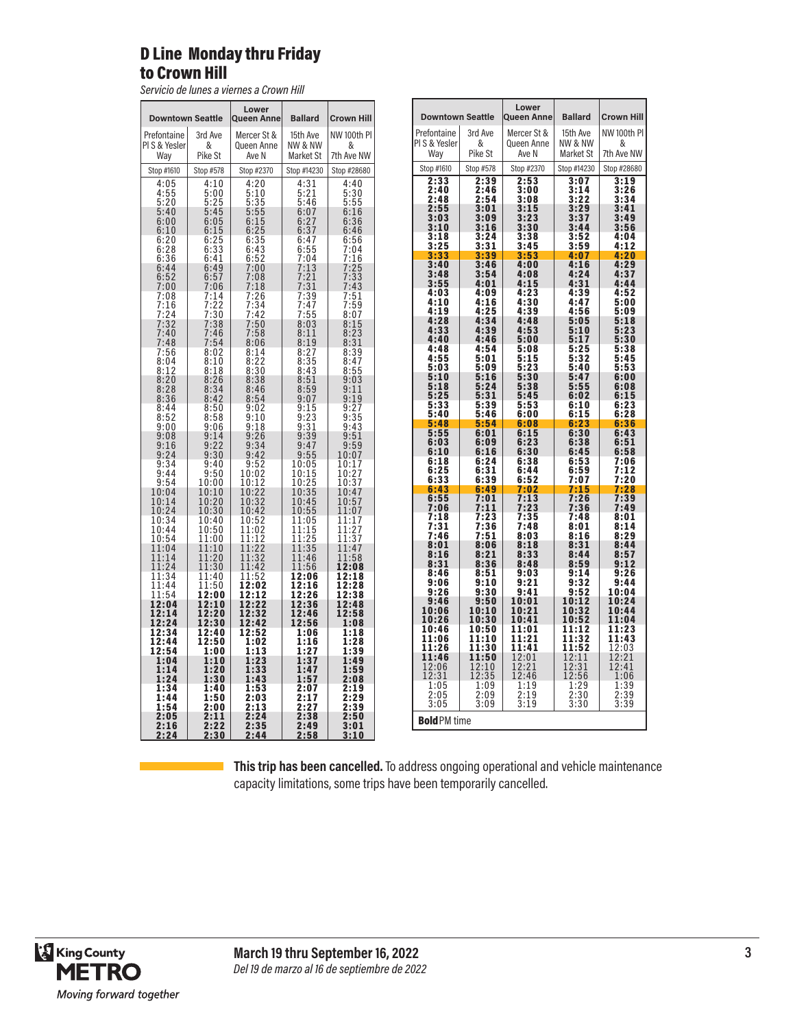## D Line Monday thru Friday to Crown Hill

*Servicio de lunes a viernes a Crown Hill*

| <b>Downtown Seattle</b>                                                               |                                                              | Lower<br><b>Queen Anne</b>                                                     | <b>Ballard</b>                                                               | <b>Crown Hill</b>                                        |
|---------------------------------------------------------------------------------------|--------------------------------------------------------------|--------------------------------------------------------------------------------|------------------------------------------------------------------------------|----------------------------------------------------------|
|                                                                                       | 3rd Ave                                                      | Mercer St &                                                                    |                                                                              | NW 100th PI                                              |
| Prefontaine<br>PIS & Yesler                                                           | &                                                            | Queen Anne                                                                     | 15th Ave<br>NW & NW                                                          | &                                                        |
| Way                                                                                   | Pike St                                                      | Ave N                                                                          | Market St                                                                    | 7th Ave NW                                               |
| Stop #1610                                                                            | Stop #578                                                    | Stop #2370                                                                     | Stop #14230                                                                  | Stop #28680                                              |
| 4:055<br>5:20<br>5:20<br>5:40<br>6:10<br>6:10<br>6:20<br>6:28<br>6:52<br>6:52<br>7:00 | 4:10<br>5:00                                                 | 4:20<br>5:10                                                                   | $\overline{4:31}$<br>5:21<br>5:46<br>6:07<br>6:27<br>6:37<br>6:37            | 4:40                                                     |
|                                                                                       | 5:25                                                         |                                                                                |                                                                              | $\frac{5:30}{5:55}$<br>6:16                              |
|                                                                                       | 5:45<br>6:05                                                 |                                                                                |                                                                              | 6:36                                                     |
|                                                                                       |                                                              |                                                                                |                                                                              | 6:46                                                     |
|                                                                                       | $6:15$<br>$6:25$<br>$6:33$<br>$6:41$                         | 5:35<br>5:55<br>5:55<br>6:25<br>6:35<br>6:35<br>6:35<br>7:00<br>7:18<br>7:18   | 6:47                                                                         | 6:56                                                     |
|                                                                                       |                                                              |                                                                                |                                                                              | 7:04<br>7:04<br>7:16<br>7:25<br>7:33<br>7:51             |
|                                                                                       | 6:49                                                         |                                                                                |                                                                              |                                                          |
|                                                                                       | $\frac{6:57}{7:06}$                                          |                                                                                |                                                                              |                                                          |
|                                                                                       |                                                              |                                                                                |                                                                              |                                                          |
|                                                                                       |                                                              |                                                                                |                                                                              |                                                          |
| $7:08$<br>$7:16$<br>$7:24$<br>$7:32$<br>$7:40$                                        | $7:14$<br>$7:22$<br>$7:30$<br>$7:38$<br>$7:46$               | $7:26$<br>$7:34$<br>$7:42$<br>$7:50$<br>$7:58$<br>$9:06$                       | 6:55<br>7:04<br>7:13<br>7:21<br>7:31<br>7:39<br>7:47<br>7:55<br>8:03<br>8:11 | $7:51$<br>$7:59$<br>$8:07$<br>$8:15$<br>$8:23$<br>$9:31$ |
| 7:48                                                                                  | 7:54                                                         | 8:06                                                                           |                                                                              |                                                          |
|                                                                                       | 8:02                                                         |                                                                                |                                                                              | $8:31$<br>$8:39$<br>$8:47$<br>$8:55$                     |
|                                                                                       | $8:10$<br>$8:18$<br>$8:26$                                   |                                                                                |                                                                              |                                                          |
| $7:56$<br>8:04<br>8:12<br>8:20<br>8:28<br>8:36                                        |                                                              | $8:14$<br>$8:22$<br>$8:30$<br>$8:38$<br>$8:46$<br>$8:54$                       | 8:19<br>8:27<br>8:35<br>8:43<br>8:59<br>8:59<br>9:59<br>9:23<br>9:31<br>9:47 | $9:03$<br>$9:11$<br>$9:19$<br>$9:27$<br>$9:35$<br>$9:43$ |
|                                                                                       | $\frac{8:54}{8:42}$                                          |                                                                                |                                                                              |                                                          |
| $8:44$<br>$8:52$<br>$9:00$                                                            | $8:50$<br>$8:58$<br>$9:06$                                   |                                                                                |                                                                              |                                                          |
|                                                                                       |                                                              |                                                                                |                                                                              |                                                          |
| $\frac{9:08}{9:16}$                                                                   | 9:14<br>$9:22$<br>$9:30$                                     |                                                                                |                                                                              | $\frac{9:51}{9:59}$                                      |
| 9:24<br>9:34                                                                          | 9:40                                                         |                                                                                |                                                                              | 10:07<br>7                                               |
| 9:44                                                                                  | 9:50                                                         | 9:02<br>9:10<br>9:18<br>9:26<br>9:34<br>9:34<br>9:32<br>9:32<br>10:02<br>10:02 | $9:55$<br>10:05<br>10:15<br>10:15                                            | $\frac{1}{10:1}$<br>$\frac{1}{2}$<br>7                   |
| 9:54                                                                                  | 10:00<br>10:10                                               | $\frac{10:12}{10:22}$<br>$\frac{10:32}{10:32}$                                 | $\frac{10:25}{10:35}$<br>$\frac{10:35}{10:45}$                               | 10:3<br>7<br>10:47                                       |
| $10:04$<br>$10:14$                                                                    | 10:20                                                        |                                                                                |                                                                              | 10:57                                                    |
| 10:24<br>10:34                                                                        | 10:30<br>10:40                                               | $\frac{10.42}{10.52}$                                                          | $\begin{array}{c} 10:55 \\ 11:05 \end{array}$                                | 11:07<br>11:17                                           |
| $\frac{10:44}{10:54}$                                                                 | 10:50                                                        | 1                                                                              | $\frac{1:15}{1:25}$<br>1                                                     | $\frac{1:27}{1:37}$<br>1                                 |
| 1:04<br>1                                                                             | 1:00<br>1<br>11:10                                           | $1:02$<br>$1:12$<br>$1:22$<br>1<br>1                                           | 1<br>11:35                                                                   | 1<br>1:47<br>1                                           |
| 11:14                                                                                 | 11:20                                                        | 11:32                                                                          | 11:46                                                                        | 11:58                                                    |
| 11:24<br>11:34                                                                        | 11:30<br>11:40                                               | 11:42<br>1:52<br>1                                                             | 11:56<br>12:06                                                               | 12:08<br>12:18                                           |
| 1:44<br>1                                                                             | $\frac{1:50}{2:00}$<br>1                                     | $2:02$<br>$2:12$<br>1                                                          | 12:16<br>12:26                                                               | 12:28<br>12:38                                           |
| 1:54<br>1<br>12:04                                                                    | 1<br>2:10<br>1                                               | 1<br>12:2<br>$\overline{2}$                                                    | 12:36                                                                        | 12:48                                                    |
| 12:14<br>12:24                                                                        | 12:20<br>12:30                                               | $\overline{1}\overline{2}$ : $\overline{3}\overline{2}$<br>12:42               | 12:46<br>12:56                                                               | 12:58<br>1:08                                            |
| $\overline{12:34}$<br>$\overline{12:44}$                                              | 12:40                                                        | 12:52                                                                          | 1:06                                                                         | $1:18$<br>$1:28$                                         |
| 12:54                                                                                 | 12:50<br>1:00                                                | 1:02<br>1:13                                                                   | 1:16<br>1:27                                                                 | 1:39                                                     |
| 1:04                                                                                  | 1:10                                                         | 1:23                                                                           | 1:37                                                                         | 1:49                                                     |
| 1:14<br>1:24                                                                          | 1:20<br>1:30                                                 | 1:33<br>1:43                                                                   | 1:47<br>1:57                                                                 | 1:59<br>2:08                                             |
| $\overline{1:34}$<br>$1:44$                                                           | 1:40                                                         | 1:53                                                                           | 2:07                                                                         | 2:19                                                     |
| 1:54                                                                                  | 1:50<br>2:00                                                 | 2:03<br>2:13                                                                   | $\overline{2:17}$<br>2:27                                                    | 2:29<br>2:39                                             |
| 2:05                                                                                  | 2:11<br>$\overline{2}$                                       | 2:24                                                                           | 2:38                                                                         | 2:50                                                     |
| $\overline{2:16}$<br>2:24                                                             | $\frac{1}{2}$<br>$\frac{1}{2}$<br>$\frac{1}{2}$<br>$\bar{2}$ | 2:35<br>$\bar{2}:$ 44                                                          | $\overline{2:}49$<br>2:58                                                    | 3:01<br><u>3:10</u>                                      |

| <b>Downtown Seattle</b>     |                           | Lower<br>Queen Anne       | <b>Ballard</b>                              | <b>Crown Hill</b>       |  |  |  |
|-----------------------------|---------------------------|---------------------------|---------------------------------------------|-------------------------|--|--|--|
| Prefontaine<br>PIS & Yesler | 3rd Ave<br>&              | Mercer St &<br>Queen Anne | 15th Ave<br>NW & NW                         | NW 100th PI<br>&        |  |  |  |
| Way                         | Pike St                   | Ave N                     | Market St                                   | 7th Ave NW              |  |  |  |
| Stop #1610                  | Stop #578                 | Stop #2370                | Stop #14230                                 | Stop #28680             |  |  |  |
| 2:33<br>2:40                | 2:39<br>2:46              | 2:53<br>3:00              | 3:07<br>3:14                                | 3:19<br>3:26            |  |  |  |
| 2:48<br>2:55                | 2:54<br>3:01              | 3:08<br>3:15              | 3:22<br>3:29                                | 3:34<br>3:41            |  |  |  |
| 3:03<br>3:10                | 3:09<br>3:16              | 3:23<br>3:30              | $3:37$<br>$3:44$                            | 3:49<br>3:56            |  |  |  |
| $3:18$<br>$3:25$            | 3:24                      | 3:38                      | 3:52                                        | 4:04                    |  |  |  |
| 3:33                        | 3:31<br>3:39              | 3:45<br>3:53              | 3:59<br>4:07                                | 4:12<br>4:20            |  |  |  |
| $3:40$<br>$3:48$            | 3:46<br>3:54              | 4:00<br>4:08              | 4:16<br>4:24                                | 4:29<br>4:37            |  |  |  |
| 3:55                        | 4:01<br>4:09              | 4:15<br>4:23              | 4:31<br>4:39                                | 4:44                    |  |  |  |
| 4:03<br>4:10                | 4:16                      | 4:30                      | 4:47                                        | 4:52<br>5:00            |  |  |  |
| 4:19<br>4:28                | 4:25                      | 4:39<br>4:48              | 4:56<br>5:05                                | 5:09<br>5:18            |  |  |  |
| 4:33<br>4:40                | 4:34<br>4:34<br>4:46      | 4:53<br>5:00              | 5:10<br>5:17                                | 5:23<br>5:30            |  |  |  |
| 4:48                        | 4:54                      | 5:08                      | 5:25                                        | 5:38                    |  |  |  |
| 4:55<br>5:03                | 5:01<br>5:09              | 5:15<br>5:23              | 5:32<br>5:40                                | 5:45<br>$5:5\bar{3}$    |  |  |  |
| 5:10<br>5:18                | 5:16<br>5:24              | 5:30<br>5:38              | 5:47<br>5:55                                | 6:00<br>6:08            |  |  |  |
| 5:25                        | 5:31                      | 5:45                      | 6:02                                        | 6:15                    |  |  |  |
| 5:33<br>5:40                | 5:39<br>5:46              | 5:53<br>6:00              | 6:10<br>6:15                                | 6:23<br>6:28            |  |  |  |
| 5:48<br>5:55                | 5:54<br>6:01              | 6:08<br>6:15              | 6:2<br>3<br>6:30                            | 6:36<br>6:43            |  |  |  |
| 6:03                        | 6:09<br>6:16              | 6:23                      | 6:38                                        | 6:51                    |  |  |  |
| 6:10<br>6:18                | 6:24                      | 6:30<br>6:38              | 6:45<br>6:53                                | 6:58<br>7:06            |  |  |  |
| $6:25$<br>6:33              | $\frac{6:31}{6:39}$       | 6:44<br>6:52              | 6:59<br>7:07                                | 7<br>:12<br><u>7:20</u> |  |  |  |
| 6:43<br>6:55                | 6:49<br>7:01              | :02<br>7<br>7:13          | 7:15<br>7:26                                | 7:28<br>7:39            |  |  |  |
| 7:06                        | 7:11                      | 7:23                      | 7:36                                        | 7:49                    |  |  |  |
| 7:18<br>:31<br>7            | : 23<br>7<br>:36<br>7     | 7:35<br>7:48              | 7:48<br>8:01                                | 8:01<br>8:14            |  |  |  |
| 7:46<br>8:01                | 7:51<br>8:06              | 8:03<br>8:18              | 8:16<br>8:31                                | 8:29<br>8:44            |  |  |  |
| 8:16                        | 8:21                      | 8:33                      | 8:44                                        | 8:57                    |  |  |  |
| 8:31<br>8:46                | 8:36<br>8:51              | 8:48<br>9:03              | 8:59<br>9:14                                | 9:12<br>9:26            |  |  |  |
| 9:06<br>9:26                | 9:10<br>9:30              | 9:21<br>9:41              | 9:32<br>9:52                                | 9:44<br>10:04           |  |  |  |
| 9:46<br>10:06               | 9:50<br>10:10             | 10:01<br>10:21            | 10:12<br>10:32                              | 10:24<br>10:44          |  |  |  |
| 10:26                       | 10:30                     | 10:41                     | 10:52                                       | 11:04                   |  |  |  |
| 10:46<br>1:06<br>1          | 10:50<br>1:10<br>1        | 1:01<br>1<br>1:21<br>1    | 11:12<br>11:32                              | 1<br>1:23<br>1:43<br>1  |  |  |  |
| 1:26<br>1<br>11:46          | 1:30<br>1<br>11:50        | 1:41<br>1<br>12:01        | 1<br>1:52                                   | 12:03<br>12:21          |  |  |  |
| $\frac{1}{12:06}$           | $\frac{1}{2}:10$<br>12:35 | 12:21<br>12:46            | $\frac{12:11}{12:31}$<br>$12:31$<br>$12:56$ | 12:41<br>1:06           |  |  |  |
| 1:05<br>2:05                | 1:09<br>2:09              | 1:19                      | $\frac{1:29}{2:30}$<br>3:30                 | 1:39<br>2:39<br>3:39    |  |  |  |
| 3:05                        | 3:09                      | $\frac{2:19}{3:19}$       |                                             |                         |  |  |  |
|                             | <b>Bold</b> PM time       |                           |                                             |                         |  |  |  |

**This trip has been cancelled.** To address ongoing operational and vehicle maintenance capacity limitations, some trips have been temporarily cancelled.



**March 19 thru September 16, 2022** *Del 19 de marzo al 16 de septiembre de 2022*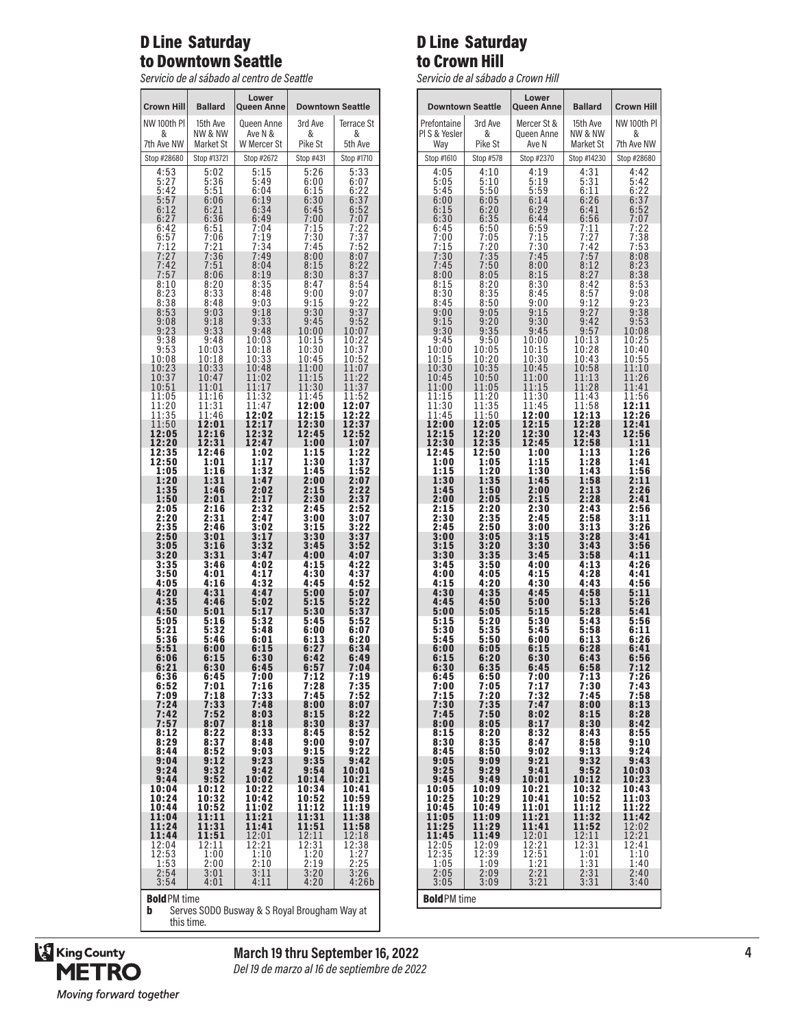## D Line Saturday to Downtown Seattle

*Servicio de al sábado al centro de Seattle*

| <b>Crown Hill</b>        | <b>Ballard</b>   | Lower<br>Queen Anne                          | <b>Downtown Seattle</b>      |                              |  |
|--------------------------|------------------|----------------------------------------------|------------------------------|------------------------------|--|
| NW 100th PI              | 15th Ave         | Queen Anne                                   | 3rd Ave                      | <b>Terrace St</b>            |  |
| &                        | NW & NW          | Ave N &                                      | &                            | &                            |  |
| 7th Ave NW               | Market St        | W Mercer St                                  | Pike St                      | 5th Ave                      |  |
| Stop #28680              | Stop #13721      | Stop #2672                                   | Stop #431                    | Stop #1710                   |  |
| 4:53<br>5:27             | 5:02             | 5:15                                         | 5:26                         | 5:33                         |  |
|                          | 5:36             | 5:49                                         | 6:00                         | 6:07                         |  |
| 5:42<br>5:57             | 5:51<br>6:06     | 6:04<br>6:19                                 | 6:15                         | 6:22                         |  |
| $6:12$<br>$6:27$         | 6:21<br>6:36     | 6:34<br>6:49                                 | $6:30$<br>$6:45$<br>7:00     | $6:37$<br>$6:52$<br>$7:07$   |  |
| 6:42                     | 6:51             | 7:04                                         | 7:15                         | 7:22<br>7:37                 |  |
| 6:57                     | 7:06             | 7:19                                         | 7:30                         | 7:52                         |  |
| 7:12                     | 7:21             | 7:34                                         | 7:45                         |                              |  |
| 7:27<br>$7:42$<br>$7:57$ | 36<br>7:<br>7:51 | 7:49<br>8:04                                 | 8:00<br>8:15                 | 8:07<br>$8:22$<br>$8:37$     |  |
| 8:10                     | 8:06<br>8:20     | 8:19<br>8:35                                 | 8:30<br>8:47                 | 8:54                         |  |
| 8:23                     | 8:33             | 8:48                                         | 9:00                         | 9:07                         |  |
| 8:38                     | 8:48             | 9:03                                         | 9:15                         | 9:22                         |  |
| $8:53$<br>$9:08$         | 9:03             | 9:18                                         | 9:30                         | 9:37                         |  |
|                          | 9:18             | 9:33                                         | 9:45                         | 9:52                         |  |
| 9:23                     | 9:33             | 9:48                                         | 10:00                        | 10:07                        |  |
| 9:38                     | 9:48             | 10:03                                        | 10:15                        | 10:22                        |  |
| 9:53                     | 10:03            | 10:18                                        | 10:30                        | 10:37                        |  |
| 10:08<br>10:23           | 10:18<br>10:33   | 10:33<br>10:48                               | 10:45<br>1:00<br>1           | 10:52<br>11:07               |  |
| 10:37<br>10:51           | 10:47<br>11:01   | 11:02<br>1:17<br>1                           | 11:15<br>1:30<br>1           | 11:22<br>11:37               |  |
| 11:05                    | 11:16            | 11:32                                        | 11:45                        | 11:52                        |  |
| 11:20                    | 11:31            | 11:47                                        | 12:00                        | 12:07                        |  |
| 11:35                    | 11:46            | 12:02                                        | 12:15                        | 12:22                        |  |
| 11:50                    | 12:01            | 12:17                                        | 12:30                        | 12:37                        |  |
| 12:05                    | 2:16<br>ı        | 12:32<br>12:47                               | 12:45                        | 12:52                        |  |
| 12:20                    | 12:31            | 1:02                                         | 1:00                         | 1:07                         |  |
| 12:35                    | 12:46            |                                              | 1:15                         | 1:22                         |  |
| 12:50                    | 1:01             | 1:17                                         | 1:30                         | 1:37                         |  |
| 1:05                     | 1:16             | 1:32                                         | 1:45                         | 1:52                         |  |
| 1:20                     | 1:31             | 1:47                                         | 2:00                         | 2:07                         |  |
| 1:35                     | 1:46             | 2:02                                         | 2:15                         | 2:22                         |  |
| 1:50                     | 2:01             | 2:17                                         | 2:30                         | 2:37                         |  |
| 2:05                     | 2:16             | 2:32                                         | 2:45                         | 2:52                         |  |
| 2:20                     | 2:31             | 2:47                                         | 3:00                         | 3:07                         |  |
| 2:35                     | 2:46             | 3:02                                         | 3:15                         | 3:22                         |  |
| 2:50                     | 3:01             | 3:17                                         | 3:30                         | 3:37                         |  |
| 3:05                     | 3:16             | 3:32                                         | 3:45                         | 3:52                         |  |
| 3:20                     | 3:31             | 3:47                                         | 4:00                         | 4:07                         |  |
| 3:35                     | 3:46             | 4:02                                         | 4:15                         | 4:22                         |  |
| 3:50                     | 4:01             | 4:17                                         | 4:30                         | 4:37                         |  |
| 4:05                     | 4:16             | 4:32                                         | 4:45                         | 4:52                         |  |
| 4:20                     | 4:31             | 4:47                                         | 5:00                         | 5:07                         |  |
| 4:35                     | 4:46             | 5:02                                         | 5:15                         | 5:22                         |  |
| 4:50                     | 5:01             | 5:17                                         | 5:30                         | 5:37                         |  |
| 5:05                     | 5:16             | 5:32                                         | 5:45                         | 5:52                         |  |
| 5:21                     | 5:32             | 5:48                                         | 6:00                         | 6:07                         |  |
| 5:36                     | 5:46             | 6:01                                         | 6:13                         | 6:20                         |  |
| 5:51                     | 6:00             | 6:15                                         | 6:27                         | 6:34                         |  |
| 6:06                     | 6:15             | 6:30                                         | 6:42                         | 6:49                         |  |
| 6:21                     | 6:30             | 6:45                                         | 6:57                         | 7:04                         |  |
| 6:36                     | 6:45             | 7:00                                         | 7:12                         | 7:19                         |  |
| 6:52                     | 7:01             | 7:16                                         | 7:28                         | 7:35                         |  |
| 7:09                     | 7:18             | 7:33                                         | 7:45                         | 7:52                         |  |
| 7:24                     | 7:33             | 7:48                                         | 8:00                         | 8:07                         |  |
| 7:42                     | 7:52             | 8:03                                         | 8:15                         | 8:22                         |  |
| 7:57                     | 8:07             | 8:18                                         | 8:30                         | 8:37                         |  |
| 8:12                     | 8:22             | 8:33                                         | 8:45                         | 8:52                         |  |
| 8:25<br>8:44             | 8:37             | 8:48                                         | 9:00                         | 9:07<br>9:22                 |  |
| 9:04                     | 8:52<br>9:12     | 9:03<br>9:23                                 | 9:15<br>9:35                 | 9:42                         |  |
| 9:24                     | 9:32             | 9:42                                         | 9:54                         | 10:01                        |  |
| 9:44                     | 9:52             | 10:02                                        | 10:14                        | 10:21                        |  |
| 10:04                    | 10:12            | 10:22                                        | 10:34                        | 10:41                        |  |
| 10:24                    | 10:32            | 10:42                                        | 10:52                        | 10:59                        |  |
| 10:44                    | 10:52            | 11:02                                        | 11:12                        | 11:19                        |  |
| 11:04                    | 11:11            | 11:21                                        | 11:31                        | 11:38                        |  |
| 11:24                    | 11:31            | 11:41                                        | 11:51                        | 11:58                        |  |
| 11:44                    | 11:51            | 12:01                                        | 12:11                        | 12:18                        |  |
| 12:04                    | 12:11            | 12:21                                        | 12:31                        | 12:38                        |  |
| 12:53                    | 1:00             | 1:10                                         | $\overline{1:}2\overline{0}$ | $\overline{1:}2\overline{7}$ |  |
| 1:53                     | 2:00             | 2:10                                         | 2:19                         | 2:25                         |  |
| 2:54<br>3:54             | 3:01<br>4:01     | 3:11<br>4:11                                 | $3:20$<br>$4:20$             | $3:26$<br>$4:26b$            |  |
| <b>Bold PM</b> time<br>b |                  | Serves SODO Busway & S Royal Brougham Way at |                              |                              |  |

# D Line Saturday to Crown Hill

*Servicio de al sábado a Crown Hill*

|                        | <b>Downtown Seattle</b>       | Lower<br>Queen Anne   | <b>Ballard</b>                              | <b>Crown Hill</b>          |
|------------------------|-------------------------------|-----------------------|---------------------------------------------|----------------------------|
| Prefontaine            | 3rd Ave                       | Mercer St &           | 15th Ave                                    | NW 100th PI                |
| PIS & Yesler           | &                             | Queen Anne            | NW & NW                                     | &                          |
| Way                    | Pike St                       | Ave N                 | Market St                                   | 7th Ave NW                 |
| Stop #1610             | Stop #578                     | Stop #2370            | Stop #14230                                 | Stop #28680                |
| 4:05                   | 4:10                          | 4:19                  | 4:31                                        | 4:42                       |
| 5:05                   | 5:10                          | 5:19                  | 5:31                                        | 5:42                       |
| 5:45                   | 5:50                          | 5:59                  | 6:11                                        | $6:22$<br>$6:37$<br>$6:52$ |
| 6:00                   | 6:05                          | 6:14                  | 6:26                                        |                            |
| 6:15                   | 6:20                          | 6:29                  | 6:41                                        |                            |
| 6:30                   | 6:35                          | 6:44                  | 6:56                                        | 7:07                       |
| 6:45                   | 6:50                          | 6:59                  | 7:11                                        | 7:22                       |
| 7:00<br>7:15           | 7:05<br>$\overline{20}$<br>7: | 7:15<br>7:30          | 7:27<br>:42<br>7                            | 7:38<br>7:53               |
| 7:30                   | 35                            | 7:45                  | 7:57                                        | 8:08                       |
| 7:45                   | 7:                            | 8:00                  | 8:12                                        |                            |
| 8:00                   | $7:50$<br>$8:05$              | 8:15                  | 8:27                                        | $8:23$<br>$8:38$           |
| 8:15                   | 8:20                          | 8:30                  | 8:42                                        | 8:53                       |
| 8:30                   | 8:35                          | 8:45                  | 8:57                                        | 9:08                       |
| 8:45                   | 8:50                          | 9:00                  | 9:12                                        | 9:23                       |
| 9:00                   | 9:05                          | 9:15                  | 9:27                                        | 9:38                       |
| 9:15                   | 9:20                          | 9:30                  | 9:42                                        | 9:53                       |
| 9:30                   | 9:35                          | 9:45                  | 9:57                                        | 10:08                      |
| 9:45                   | 9:50                          | 10:00                 | 10:13                                       | 10:25                      |
| 10:00                  | 10:05                         | 10:15                 | 10:28                                       | 10:40                      |
| 10:15                  | 10:20                         | 10:30                 | 10:43                                       | 10:55                      |
| 0:30<br>1<br>10:45     | 0:35<br>1<br>10:50            | 10:45<br>11:00        | 10:58<br>11:13                              | 1:10<br>1<br>11:26         |
| 1:00<br>1<br>1:15<br>1 | 1:05<br>1<br>1:20<br>1        | 11:15<br>11:30        | 11:28<br>11:43                              | 1:41<br>1<br>11:56         |
| 1:30<br>1<br>1:45<br>1 | 1:35<br>1<br>1:50<br>1        | 11:45<br>12:00        | 11:58<br>12:13                              | 12:11<br>12:26             |
| 12:00                  | 12:05                         | 12:15                 | 12:28                                       | 12:41                      |
| 12:15<br>12:30         | 2:20<br>1<br>12:35            | 12:30<br>12:45        | 12:43<br>12:58                              | 12:56<br>1:11              |
| 12:45                  | 12:50                         | 1:00                  | 1:13                                        | 1:26                       |
| 1:00                   | 1:05                          | 1:15                  | 1:28                                        | 1:41                       |
| 1:15                   | 1:20                          | 1:30                  | 1:43                                        | 1:56                       |
| 1:30                   | 1:35                          | 1:45                  | 1:58                                        | 2:11                       |
| 1:45                   | 1:50                          | 2:00                  | 2:13                                        | 2:26                       |
| 2:00                   | 2:05                          | 2:15                  | 2:28                                        | 2:41                       |
| 2:15                   | 2:20                          | 2:30                  | 2:43                                        | 2:56                       |
| 2:30                   | 2:35                          | 2:45                  | 2:58                                        | $3:11$<br>$3:26$           |
| 2:45                   | 2:50                          | 3:00                  | 3:13                                        |                            |
| 3:00                   | 3:05                          | 3:15                  | 3:28                                        | 3:41                       |
| 3:15                   | 3:20                          | 3:30                  | 3:43                                        | 3:56                       |
| 3:30                   | 3:35                          | 3:45                  | 3:58                                        | 4:11                       |
| 3:45                   | 3:50                          | 4:00                  | 4:13                                        | 4:26                       |
| 4:00                   | 4:05                          | 4:15                  | 4:28                                        | 4:41                       |
| 4:15                   | 4:20                          | 4:30                  | 4:43                                        | 4:56                       |
| 4:30                   | 4:35                          | 4:45                  | 4:58                                        | 5:11                       |
| 4:45                   | 4:50                          | 5:00                  | 5:13                                        | 5:26                       |
| 5:00                   | 5:05                          | 5:15                  | 5:28                                        | 5:41                       |
| 5:15                   | 5:20                          | 5:30                  | 5:43                                        | 5:56                       |
| 5:30                   | 5:35                          | 5:45                  | 5:58                                        | 6:11                       |
| 5:45                   | 5:50                          | 6:00                  | 6:13                                        | 6:26                       |
| 6:00                   | 6:05                          | 6:15                  | 6:28                                        | 6:41                       |
| 6:15                   | 6:20                          | 6:30                  | 6:43                                        | 6:56                       |
| 6:30                   | 6:35                          | 6:45                  | 6:58                                        | 7:12                       |
| 6:45                   | 6:50                          | 7:00                  | 7:13                                        | 7:26                       |
| 7:00                   | 7:05                          | 7:17                  | 7:30                                        | 7:43                       |
| 7:15                   | 7:20                          | 7:32                  | 7:45                                        | 7:58                       |
| 7:30                   | 7:35<br>7:50                  | 7:47                  | 8:00                                        | 8:13<br>8:28               |
| 7:45<br>8:00           | 8:05                          | 8:02<br>8:17          | 8:15<br>8:30                                | 8:42                       |
| 8:15                   | 8:20                          | 8:32                  | 8:43                                        | 8:55                       |
| 8:30                   | 8:35                          | 8:47                  | 8:58                                        | 9:10                       |
| 8:45                   | 8:50                          | 9:02                  | 9:13                                        | 9:24                       |
| 9:05                   | 9:09                          | 9:21                  | 9:32                                        | 9:43                       |
| 9:25                   | 9:29                          | 9:41                  | 9:52                                        | 10:03                      |
| 9:45                   | 9:49                          | 10:01                 | 10:12                                       | 10:23                      |
| 10:05                  | 10:09                         | 10:21                 | 10:32                                       | 10:43                      |
| 10:25                  | 10:29                         | 10:41                 | 10:52                                       | 11:03                      |
| 10:45                  | 10:49                         | 11:01                 | 11:12                                       | 11:22                      |
| 11:05                  | 11:09                         | 11:21                 | 11:32                                       | 11:42                      |
| 11:25                  | 11:29                         | 11:41                 | 11:52                                       |                            |
| 11:45                  | 1:49                          | 2:01                  | 12:11                                       | 12:02<br>12:21             |
| 12:05                  | 1                             | 1                     | 12:31                                       | 12:41                      |
| 12:35                  | $\frac{12:09}{12:39}$         | $\frac{12:21}{12:51}$ | 1:01                                        | 1:10                       |
| 1:05                   | 1:09                          | 1:21                  | 1:31                                        | 1:40                       |
| 2:05                   | 2:09                          | 2:21<br>3:21          | $\begin{array}{c} 2:31 \\ 3:31 \end{array}$ | 2:40                       |
| 3:05                   | $\bar{3}:\!0\bar{9}$          |                       |                                             | 3:40                       |
| <b>Bold</b> PM time    |                               |                       |                                             |                            |

this time.



#### **March 19 thru September 16, 2022** *Del 19 de marzo al 16 de septiembre de 2022*

**4**